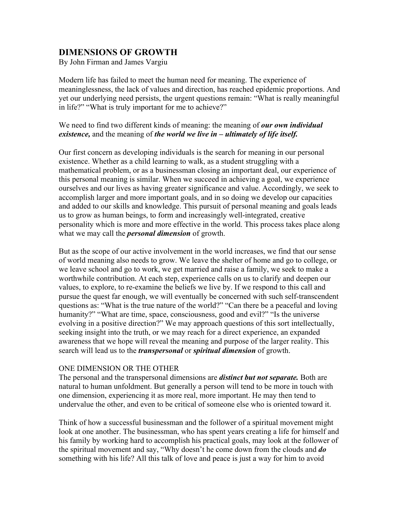# **DIMENSIONS OF GROWTH**

By John Firman and James Vargiu

Modern life has failed to meet the human need for meaning. The experience of meaninglessness, the lack of values and direction, has reached epidemic proportions. And yet our underlying need persists, the urgent questions remain: "What is really meaningful in life?" "What is truly important for me to achieve?"

## We need to find two different kinds of meaning: the meaning of *our own individual existence,* and the meaning of *the world we live in – ultimately of life itself.*

Our first concern as developing individuals is the search for meaning in our personal existence. Whether as a child learning to walk, as a student struggling with a mathematical problem, or as a businessman closing an important deal, our experience of this personal meaning is similar. When we succeed in achieving a goal, we experience ourselves and our lives as having greater significance and value. Accordingly, we seek to accomplish larger and more important goals, and in so doing we develop our capacities and added to our skills and knowledge. This pursuit of personal meaning and goals leads us to grow as human beings, to form and increasingly well-integrated, creative personality which is more and more effective in the world. This process takes place along what we may call the *personal dimension* of growth.

But as the scope of our active involvement in the world increases, we find that our sense of world meaning also needs to grow. We leave the shelter of home and go to college, or we leave school and go to work, we get married and raise a family, we seek to make a worthwhile contribution. At each step, experience calls on us to clarify and deepen our values, to explore, to re-examine the beliefs we live by. If we respond to this call and pursue the quest far enough, we will eventually be concerned with such self-transcendent questions as: "What is the true nature of the world?" "Can there be a peaceful and loving humanity?" "What are time, space, consciousness, good and evil?" "Is the universe evolving in a positive direction?" We may approach questions of this sort intellectually, seeking insight into the truth, or we may reach for a direct experience, an expanded awareness that we hope will reveal the meaning and purpose of the larger reality. This search will lead us to the *transpersonal* or *spiritual dimension* of growth.

## ONE DIMENSION OR THE OTHER

The personal and the transpersonal dimensions are *distinct but not separate.* Both are natural to human unfoldment. But generally a person will tend to be more in touch with one dimension, experiencing it as more real, more important. He may then tend to undervalue the other, and even to be critical of someone else who is oriented toward it.

Think of how a successful businessman and the follower of a spiritual movement might look at one another. The businessman, who has spent years creating a life for himself and his family by working hard to accomplish his practical goals, may look at the follower of the spiritual movement and say, "Why doesn't he come down from the clouds and *do* something with his life? All this talk of love and peace is just a way for him to avoid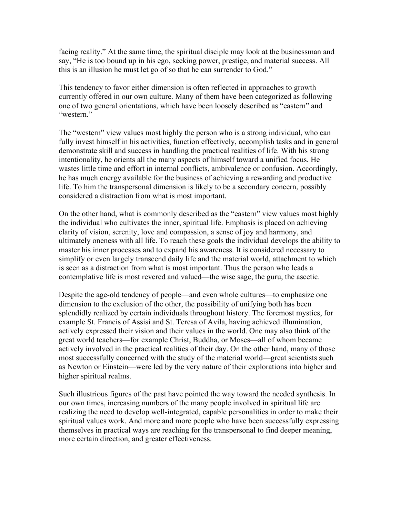facing reality." At the same time, the spiritual disciple may look at the businessman and say, "He is too bound up in his ego, seeking power, prestige, and material success. All this is an illusion he must let go of so that he can surrender to God."

This tendency to favor either dimension is often reflected in approaches to growth currently offered in our own culture. Many of them have been categorized as following one of two general orientations, which have been loosely described as "eastern" and "western."

The "western" view values most highly the person who is a strong individual, who can fully invest himself in his activities, function effectively, accomplish tasks and in general demonstrate skill and success in handling the practical realities of life. With his strong intentionality, he orients all the many aspects of himself toward a unified focus. He wastes little time and effort in internal conflicts, ambivalence or confusion. Accordingly, he has much energy available for the business of achieving a rewarding and productive life. To him the transpersonal dimension is likely to be a secondary concern, possibly considered a distraction from what is most important.

On the other hand, what is commonly described as the "eastern" view values most highly the individual who cultivates the inner, spiritual life. Emphasis is placed on achieving clarity of vision, serenity, love and compassion, a sense of joy and harmony, and ultimately oneness with all life. To reach these goals the individual develops the ability to master his inner processes and to expand his awareness. It is considered necessary to simplify or even largely transcend daily life and the material world, attachment to which is seen as a distraction from what is most important. Thus the person who leads a contemplative life is most revered and valued—the wise sage, the guru, the ascetic.

Despite the age-old tendency of people—and even whole cultures—to emphasize one dimension to the exclusion of the other, the possibility of unifying both has been splendidly realized by certain individuals throughout history. The foremost mystics, for example St. Francis of Assisi and St. Teresa of Avila, having achieved illumination, actively expressed their vision and their values in the world. One may also think of the great world teachers—for example Christ, Buddha, or Moses—all of whom became actively involved in the practical realities of their day. On the other hand, many of those most successfully concerned with the study of the material world—great scientists such as Newton or Einstein—were led by the very nature of their explorations into higher and higher spiritual realms.

Such illustrious figures of the past have pointed the way toward the needed synthesis. In our own times, increasing numbers of the many people involved in spiritual life are realizing the need to develop well-integrated, capable personalities in order to make their spiritual values work. And more and more people who have been successfully expressing themselves in practical ways are reaching for the transpersonal to find deeper meaning, more certain direction, and greater effectiveness.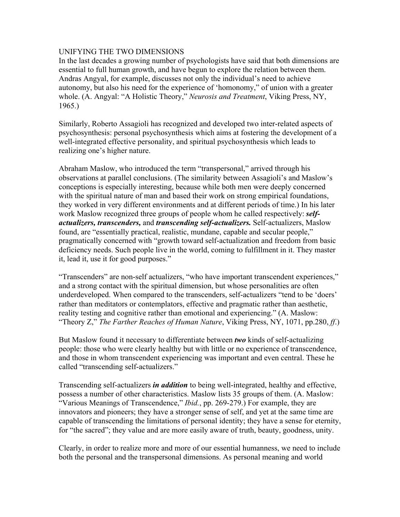## UNIFYING THE TWO DIMENSIONS

In the last decades a growing number of psychologists have said that both dimensions are essential to full human growth, and have begun to explore the relation between them. Andras Angyal, for example, discusses not only the individual's need to achieve autonomy, but also his need for the experience of 'homonomy," of union with a greater whole. (A. Angyal: "A Holistic Theory," *Neurosis and Treatment*, Viking Press, NY, 1965.)

Similarly, Roberto Assagioli has recognized and developed two inter-related aspects of psychosynthesis: personal psychosynthesis which aims at fostering the development of a well-integrated effective personality, and spiritual psychosynthesis which leads to realizing one's higher nature.

Abraham Maslow, who introduced the term "transpersonal," arrived through his observations at parallel conclusions. (The similarity between Assagioli's and Maslow's conceptions is especially interesting, because while both men were deeply concerned with the spiritual nature of man and based their work on strong empirical foundations, they worked in very different environments and at different periods of time.) In his later work Maslow recognized three groups of people whom he called respectively: *selfactualizers, transcenders,* and *transcending self-actualizers.* Self-actualizers, Maslow found, are "essentially practical, realistic, mundane, capable and secular people," pragmatically concerned with "growth toward self-actualization and freedom from basic deficiency needs. Such people live in the world, coming to fulfillment in it. They master it, lead it, use it for good purposes."

"Transcenders" are non-self actualizers, "who have important transcendent experiences," and a strong contact with the spiritual dimension, but whose personalities are often underdeveloped. When compared to the transcenders, self-actualizers "tend to be 'doers' rather than meditators or contemplators, effective and pragmatic rather than aesthetic, reality testing and cognitive rather than emotional and experiencing." (A. Maslow: "Theory Z," *The Farther Reaches of Human Nature*, Viking Press, NY, 1071, pp.280, *ff*.)

But Maslow found it necessary to differentiate between *two* kinds of self-actualizing people: those who were clearly healthy but with little or no experience of transcendence, and those in whom transcendent experiencing was important and even central. These he called "transcending self-actualizers."

Transcending self-actualizers *in addition* to being well-integrated, healthy and effective, possess a number of other characteristics. Maslow lists 35 groups of them. (A. Maslow: "Various Meanings of Transcendence," *Ibid.*, pp. 269-279.) For example, they are innovators and pioneers; they have a stronger sense of self, and yet at the same time are capable of transcending the limitations of personal identity; they have a sense for eternity, for "the sacred"; they value and are more easily aware of truth, beauty, goodness, unity.

Clearly, in order to realize more and more of our essential humanness, we need to include both the personal and the transpersonal dimensions. As personal meaning and world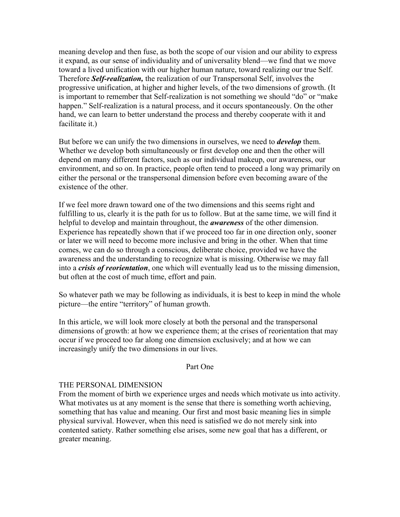meaning develop and then fuse, as both the scope of our vision and our ability to express it expand, as our sense of individuality and of universality blend—we find that we move toward a lived unification with our higher human nature, toward realizing our true Self. Therefore *Self-realization,* the realization of our Transpersonal Self, involves the progressive unification, at higher and higher levels, of the two dimensions of growth. (It is important to remember that Self-realization is not something we should "do" or "make happen." Self-realization is a natural process, and it occurs spontaneously. On the other hand, we can learn to better understand the process and thereby cooperate with it and facilitate it.)

But before we can unify the two dimensions in ourselves, we need to *develop* them. Whether we develop both simultaneously or first develop one and then the other will depend on many different factors, such as our individual makeup, our awareness, our environment, and so on. In practice, people often tend to proceed a long way primarily on either the personal or the transpersonal dimension before even becoming aware of the existence of the other.

If we feel more drawn toward one of the two dimensions and this seems right and fulfilling to us, clearly it is the path for us to follow. But at the same time, we will find it helpful to develop and maintain throughout, the *awareness* of the other dimension. Experience has repeatedly shown that if we proceed too far in one direction only, sooner or later we will need to become more inclusive and bring in the other. When that time comes, we can do so through a conscious, deliberate choice, provided we have the awareness and the understanding to recognize what is missing. Otherwise we may fall into a *crisis of reorientation*, one which will eventually lead us to the missing dimension, but often at the cost of much time, effort and pain.

So whatever path we may be following as individuals, it is best to keep in mind the whole picture—the entire "territory" of human growth.

In this article, we will look more closely at both the personal and the transpersonal dimensions of growth: at how we experience them; at the crises of reorientation that may occur if we proceed too far along one dimension exclusively; and at how we can increasingly unify the two dimensions in our lives.

#### Part One

#### THE PERSONAL DIMENSION

From the moment of birth we experience urges and needs which motivate us into activity. What motivates us at any moment is the sense that there is something worth achieving, something that has value and meaning. Our first and most basic meaning lies in simple physical survival. However, when this need is satisfied we do not merely sink into contented satiety. Rather something else arises, some new goal that has a different, or greater meaning.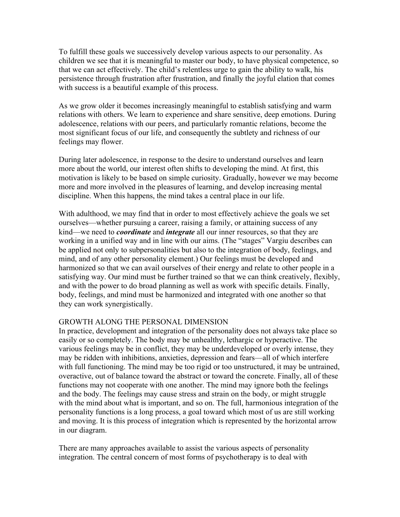To fulfill these goals we successively develop various aspects to our personality. As children we see that it is meaningful to master our body, to have physical competence, so that we can act effectively. The child's relentless urge to gain the ability to walk, his persistence through frustration after frustration, and finally the joyful elation that comes with success is a beautiful example of this process.

As we grow older it becomes increasingly meaningful to establish satisfying and warm relations with others. We learn to experience and share sensitive, deep emotions. During adolescence, relations with our peers, and particularly romantic relations, become the most significant focus of our life, and consequently the subtlety and richness of our feelings may flower.

During later adolescence, in response to the desire to understand ourselves and learn more about the world, our interest often shifts to developing the mind. At first, this motivation is likely to be based on simple curiosity. Gradually, however we may become more and more involved in the pleasures of learning, and develop increasing mental discipline. When this happens, the mind takes a central place in our life.

With adulthood, we may find that in order to most effectively achieve the goals we set ourselves—whether pursuing a career, raising a family, or attaining success of any kind—we need to *coordinate* and *integrate* all our inner resources, so that they are working in a unified way and in line with our aims. (The "stages" Vargiu describes can be applied not only to subpersonalities but also to the integration of body, feelings, and mind, and of any other personality element.) Our feelings must be developed and harmonized so that we can avail ourselves of their energy and relate to other people in a satisfying way. Our mind must be further trained so that we can think creatively, flexibly, and with the power to do broad planning as well as work with specific details. Finally, body, feelings, and mind must be harmonized and integrated with one another so that they can work synergistically.

#### GROWTH ALONG THE PERSONAL DIMENSION

In practice, development and integration of the personality does not always take place so easily or so completely. The body may be unhealthy, lethargic or hyperactive. The various feelings may be in conflict, they may be underdeveloped or overly intense, they may be ridden with inhibitions, anxieties, depression and fears—all of which interfere with full functioning. The mind may be too rigid or too unstructured, it may be untrained, overactive, out of balance toward the abstract or toward the concrete. Finally, all of these functions may not cooperate with one another. The mind may ignore both the feelings and the body. The feelings may cause stress and strain on the body, or might struggle with the mind about what is important, and so on. The full, harmonious integration of the personality functions is a long process, a goal toward which most of us are still working and moving. It is this process of integration which is represented by the horizontal arrow in our diagram.

There are many approaches available to assist the various aspects of personality integration. The central concern of most forms of psychotherapy is to deal with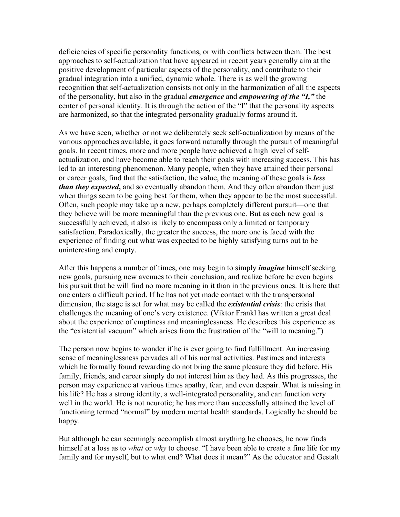deficiencies of specific personality functions, or with conflicts between them. The best approaches to self-actualization that have appeared in recent years generally aim at the positive development of particular aspects of the personality, and contribute to their gradual integration into a unified, dynamic whole. There is as well the growing recognition that self-actualization consists not only in the harmonization of all the aspects of the personality, but also in the gradual *emergence* and *empowering of the "I,"* the center of personal identity. It is through the action of the "I" that the personality aspects are harmonized, so that the integrated personality gradually forms around it.

As we have seen, whether or not we deliberately seek self-actualization by means of the various approaches available, it goes forward naturally through the pursuit of meaningful goals. In recent times, more and more people have achieved a high level of selfactualization, and have become able to reach their goals with increasing success. This has led to an interesting phenomenon. Many people, when they have attained their personal or career goals, find that the satisfaction, the value, the meaning of these goals is *less than they expected***,** and so eventually abandon them. And they often abandon them just when things seem to be going best for them, when they appear to be the most successful. Often, such people may take up a new, perhaps completely different pursuit—one that they believe will be more meaningful than the previous one. But as each new goal is successfully achieved, it also is likely to encompass only a limited or temporary satisfaction. Paradoxically, the greater the success, the more one is faced with the experience of finding out what was expected to be highly satisfying turns out to be uninteresting and empty.

After this happens a number of times, one may begin to simply *imagine* himself seeking new goals, pursuing new avenues to their conclusion, and realize before he even begins his pursuit that he will find no more meaning in it than in the previous ones. It is here that one enters a difficult period. If he has not yet made contact with the transpersonal dimension, the stage is set for what may be called the *existential crisis*: the crisis that challenges the meaning of one's very existence. (Viktor Frankl has written a great deal about the experience of emptiness and meaninglessness. He describes this experience as the "existential vacuum" which arises from the frustration of the "will to meaning.")

The person now begins to wonder if he is ever going to find fulfillment. An increasing sense of meaninglessness pervades all of his normal activities. Pastimes and interests which he formally found rewarding do not bring the same pleasure they did before. His family, friends, and career simply do not interest him as they had. As this progresses, the person may experience at various times apathy, fear, and even despair. What is missing in his life? He has a strong identity, a well-integrated personality, and can function very well in the world. He is not neurotic; he has more than successfully attained the level of functioning termed "normal" by modern mental health standards. Logically he should be happy.

But although he can seemingly accomplish almost anything he chooses, he now finds himself at a loss as to *what* or *why* to choose. "I have been able to create a fine life for my family and for myself, but to what end? What does it mean?" As the educator and Gestalt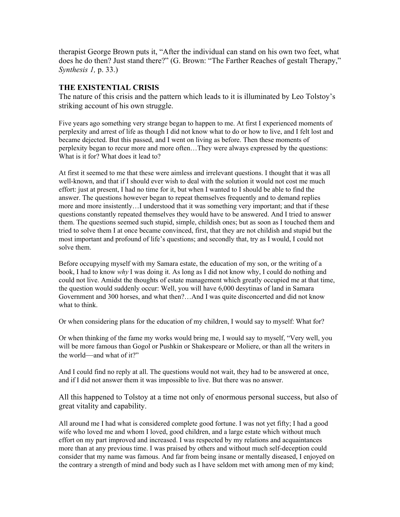therapist George Brown puts it, "After the individual can stand on his own two feet, what does he do then? Just stand there?" (G. Brown: "The Farther Reaches of gestalt Therapy," *Synthesis 1,* p. 33.)

## **THE EXISTENTIAL CRISIS**

The nature of this crisis and the pattern which leads to it is illuminated by Leo Tolstoy's striking account of his own struggle.

Five years ago something very strange began to happen to me. At first I experienced moments of perplexity and arrest of life as though I did not know what to do or how to live, and I felt lost and became dejected. But this passed, and I went on living as before. Then these moments of perplexity began to recur more and more often…They were always expressed by the questions: What is it for? What does it lead to?

At first it seemed to me that these were aimless and irrelevant questions. I thought that it was all well-known, and that if I should ever wish to deal with the solution it would not cost me much effort: just at present, I had no time for it, but when I wanted to I should be able to find the answer. The questions however began to repeat themselves frequently and to demand replies more and more insistently…I understood that it was something very important; and that if these questions constantly repeated themselves they would have to be answered. And I tried to answer them. The questions seemed such stupid, simple, childish ones; but as soon as I touched them and tried to solve them I at once became convinced, first, that they are not childish and stupid but the most important and profound of life's questions; and secondly that, try as I would, I could not solve them.

Before occupying myself with my Samara estate, the education of my son, or the writing of a book, I had to know *why* I was doing it. As long as I did not know why, I could do nothing and could not live. Amidst the thoughts of estate management which greatly occupied me at that time, the question would suddenly occur: Well, you will have 6,000 desytinas of land in Samara Government and 300 horses, and what then?…And I was quite disconcerted and did not know what to think.

Or when considering plans for the education of my children, I would say to myself: What for?

Or when thinking of the fame my works would bring me, I would say to myself, "Very well, you will be more famous than Gogol or Pushkin or Shakespeare or Moliere, or than all the writers in the world—and what of it?"

And I could find no reply at all. The questions would not wait, they had to be answered at once, and if I did not answer them it was impossible to live. But there was no answer.

All this happened to Tolstoy at a time not only of enormous personal success, but also of great vitality and capability.

All around me I had what is considered complete good fortune. I was not yet fifty; I had a good wife who loved me and whom I loved, good children, and a large estate which without much effort on my part improved and increased. I was respected by my relations and acquaintances more than at any previous time. I was praised by others and without much self-deception could consider that my name was famous. And far from being insane or mentally diseased, I enjoyed on the contrary a strength of mind and body such as I have seldom met with among men of my kind;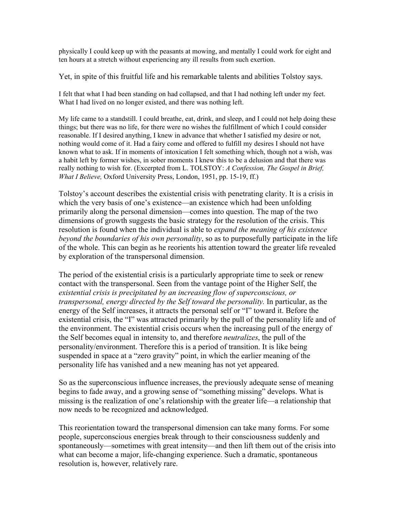physically I could keep up with the peasants at mowing, and mentally I could work for eight and ten hours at a stretch without experiencing any ill results from such exertion.

Yet, in spite of this fruitful life and his remarkable talents and abilities Tolstoy says.

I felt that what I had been standing on had collapsed, and that I had nothing left under my feet. What I had lived on no longer existed, and there was nothing left.

My life came to a standstill. I could breathe, eat, drink, and sleep, and I could not help doing these things; but there was no life, for there were no wishes the fulfillment of which I could consider reasonable. If I desired anything, I knew in advance that whether I satisfied my desire or not, nothing would come of it. Had a fairy come and offered to fulfill my desires I should not have known what to ask. If in moments of intoxication I felt something which, though not a wish, was a habit left by former wishes, in sober moments I knew this to be a delusion and that there was really nothing to wish for. (Excerpted from L. TOLSTOY: *A Confession, The Gospel in Brief, What I Believe,* Oxford University Press, London, 1951, pp. 15-19, ff.)

Tolstoy's account describes the existential crisis with penetrating clarity. It is a crisis in which the very basis of one's existence—an existence which had been unfolding primarily along the personal dimension—comes into question. The map of the two dimensions of growth suggests the basic strategy for the resolution of the crisis. This resolution is found when the individual is able to *expand the meaning of his existence beyond the boundaries of his own personality*, so as to purposefully participate in the life of the whole. This can begin as he reorients his attention toward the greater life revealed by exploration of the transpersonal dimension.

The period of the existential crisis is a particularly appropriate time to seek or renew contact with the transpersonal. Seen from the vantage point of the Higher Self, the *existential crisis is precipitated by an increasing flow of superconscious, or transpersonal, energy directed by the Self toward the personality.* In particular, as the energy of the Self increases, it attracts the personal self or "I" toward it. Before the existential crisis, the "I" was attracted primarily by the pull of the personality life and of the environment. The existential crisis occurs when the increasing pull of the energy of the Self becomes equal in intensity to, and therefore *neutralizes*, the pull of the personality/environment. Therefore this is a period of transition. It is like being suspended in space at a "zero gravity" point, in which the earlier meaning of the personality life has vanished and a new meaning has not yet appeared.

So as the superconscious influence increases, the previously adequate sense of meaning begins to fade away, and a growing sense of "something missing" develops. What is missing is the realization of one's relationship with the greater life—a relationship that now needs to be recognized and acknowledged.

This reorientation toward the transpersonal dimension can take many forms. For some people, superconscious energies break through to their consciousness suddenly and spontaneously—sometimes with great intensity—and then lift them out of the crisis into what can become a major, life-changing experience. Such a dramatic, spontaneous resolution is, however, relatively rare.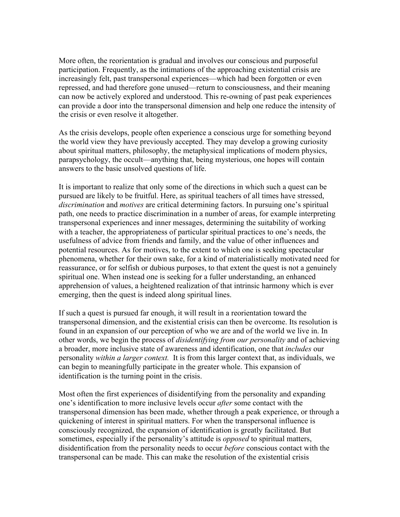More often, the reorientation is gradual and involves our conscious and purposeful participation. Frequently, as the intimations of the approaching existential crisis are increasingly felt, past transpersonal experiences—which had been forgotten or even repressed, and had therefore gone unused—return to consciousness, and their meaning can now be actively explored and understood. This re-owning of past peak experiences can provide a door into the transpersonal dimension and help one reduce the intensity of the crisis or even resolve it altogether.

As the crisis develops, people often experience a conscious urge for something beyond the world view they have previously accepted. They may develop a growing curiosity about spiritual matters, philosophy, the metaphysical implications of modern physics, parapsychology, the occult—anything that, being mysterious, one hopes will contain answers to the basic unsolved questions of life.

It is important to realize that only some of the directions in which such a quest can be pursued are likely to be fruitful. Here, as spiritual teachers of all times have stressed, *discrimination* and *motives* are critical determining factors. In pursuing one's spiritual path, one needs to practice discrimination in a number of areas, for example interpreting transpersonal experiences and inner messages, determining the suitability of working with a teacher, the appropriateness of particular spiritual practices to one's needs, the usefulness of advice from friends and family, and the value of other influences and potential resources. As for motives, to the extent to which one is seeking spectacular phenomena, whether for their own sake, for a kind of materialistically motivated need for reassurance, or for selfish or dubious purposes, to that extent the quest is not a genuinely spiritual one. When instead one is seeking for a fuller understanding, an enhanced apprehension of values, a heightened realization of that intrinsic harmony which is ever emerging, then the quest is indeed along spiritual lines.

If such a quest is pursued far enough, it will result in a reorientation toward the transpersonal dimension, and the existential crisis can then be overcome. Its resolution is found in an expansion of our perception of who we are and of the world we live in. In other words, we begin the process of *disidentifying from our personality* and of achieving a broader, more inclusive state of awareness and identification, one that *includes* our personality *within a larger context.* It is from this larger context that, as individuals, we can begin to meaningfully participate in the greater whole. This expansion of identification is the turning point in the crisis.

Most often the first experiences of disidentifying from the personality and expanding one's identification to more inclusive levels occur *after* some contact with the transpersonal dimension has been made, whether through a peak experience, or through a quickening of interest in spiritual matters. For when the transpersonal influence is consciously recognized, the expansion of identification is greatly facilitated. But sometimes, especially if the personality's attitude is *opposed* to spiritual matters, disidentification from the personality needs to occur *before* conscious contact with the transpersonal can be made. This can make the resolution of the existential crisis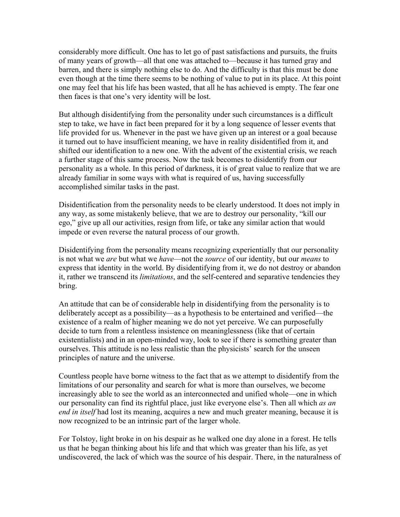considerably more difficult. One has to let go of past satisfactions and pursuits, the fruits of many years of growth—all that one was attached to—because it has turned gray and barren, and there is simply nothing else to do. And the difficulty is that this must be done even though at the time there seems to be nothing of value to put in its place. At this point one may feel that his life has been wasted, that all he has achieved is empty. The fear one then faces is that one's very identity will be lost.

But although disidentifying from the personality under such circumstances is a difficult step to take, we have in fact been prepared for it by a long sequence of lesser events that life provided for us. Whenever in the past we have given up an interest or a goal because it turned out to have insufficient meaning, we have in reality disidentified from it, and shifted our identification to a new one. With the advent of the existential crisis, we reach a further stage of this same process. Now the task becomes to disidentify from our personality as a whole. In this period of darkness, it is of great value to realize that we are already familiar in some ways with what is required of us, having successfully accomplished similar tasks in the past.

Disidentification from the personality needs to be clearly understood. It does not imply in any way, as some mistakenly believe, that we are to destroy our personality, "kill our ego," give up all our activities, resign from life, or take any similar action that would impede or even reverse the natural process of our growth.

Disidentifying from the personality means recognizing experientially that our personality is not what we *are* but what we *have*—not the *source* of our identity, but our *means* to express that identity in the world. By disidentifying from it, we do not destroy or abandon it, rather we transcend its *limitations*, and the self-centered and separative tendencies they bring.

An attitude that can be of considerable help in disidentifying from the personality is to deliberately accept as a possibility—as a hypothesis to be entertained and verified—the existence of a realm of higher meaning we do not yet perceive. We can purposefully decide to turn from a relentless insistence on meaninglessness (like that of certain existentialists) and in an open-minded way, look to see if there is something greater than ourselves. This attitude is no less realistic than the physicists' search for the unseen principles of nature and the universe.

Countless people have borne witness to the fact that as we attempt to disidentify from the limitations of our personality and search for what is more than ourselves, we become increasingly able to see the world as an interconnected and unified whole—one in which our personality can find its rightful place, just like everyone else's. Then all which *as an end in itself* had lost its meaning, acquires a new and much greater meaning, because it is now recognized to be an intrinsic part of the larger whole.

For Tolstoy, light broke in on his despair as he walked one day alone in a forest. He tells us that he began thinking about his life and that which was greater than his life, as yet undiscovered, the lack of which was the source of his despair. There, in the naturalness of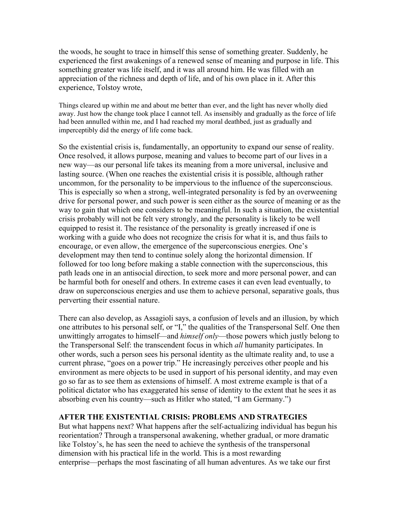the woods, he sought to trace in himself this sense of something greater. Suddenly, he experienced the first awakenings of a renewed sense of meaning and purpose in life. This something greater was life itself, and it was all around him. He was filled with an appreciation of the richness and depth of life, and of his own place in it. After this experience, Tolstoy wrote,

Things cleared up within me and about me better than ever, and the light has never wholly died away. Just how the change took place I cannot tell. As insensibly and gradually as the force of life had been annulled within me, and I had reached my moral deathbed, just as gradually and imperceptibly did the energy of life come back.

So the existential crisis is, fundamentally, an opportunity to expand our sense of reality. Once resolved, it allows purpose, meaning and values to become part of our lives in a new way—as our personal life takes its meaning from a more universal, inclusive and lasting source. (When one reaches the existential crisis it is possible, although rather uncommon, for the personality to be impervious to the influence of the superconscious. This is especially so when a strong, well-integrated personality is fed by an overweening drive for personal power, and such power is seen either as the source of meaning or as the way to gain that which one considers to be meaningful. In such a situation, the existential crisis probably will not be felt very strongly, and the personality is likely to be well equipped to resist it. The resistance of the personality is greatly increased if one is working with a guide who does not recognize the crisis for what it is, and thus fails to encourage, or even allow, the emergence of the superconscious energies. One's development may then tend to continue solely along the horizontal dimension. If followed for too long before making a stable connection with the superconscious, this path leads one in an antisocial direction, to seek more and more personal power, and can be harmful both for oneself and others. In extreme cases it can even lead eventually, to draw on superconscious energies and use them to achieve personal, separative goals, thus perverting their essential nature.

There can also develop, as Assagioli says, a confusion of levels and an illusion, by which one attributes to his personal self, or "I," the qualities of the Transpersonal Self. One then unwittingly arrogates to himself—and *himself only*—those powers which justly belong to the Transpersonal Self: the transcendent focus in which *all* humanity participates. In other words, such a person sees his personal identity as the ultimate reality and, to use a current phrase, "goes on a power trip." He increasingly perceives other people and his environment as mere objects to be used in support of his personal identity, and may even go so far as to see them as extensions of himself. A most extreme example is that of a political dictator who has exaggerated his sense of identity to the extent that he sees it as absorbing even his country—such as Hitler who stated, "I am Germany.")

## **AFTER THE EXISTENTIAL CRISIS: PROBLEMS AND STRATEGIES**

But what happens next? What happens after the self-actualizing individual has begun his reorientation? Through a transpersonal awakening, whether gradual, or more dramatic like Tolstoy's, he has seen the need to achieve the synthesis of the transpersonal dimension with his practical life in the world. This is a most rewarding enterprise—perhaps the most fascinating of all human adventures. As we take our first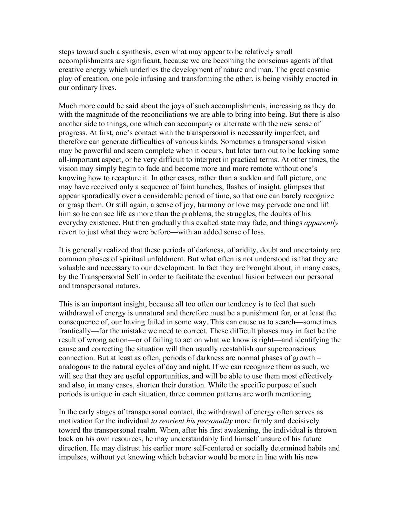steps toward such a synthesis, even what may appear to be relatively small accomplishments are significant, because we are becoming the conscious agents of that creative energy which underlies the development of nature and man. The great cosmic play of creation, one pole infusing and transforming the other, is being visibly enacted in our ordinary lives.

Much more could be said about the joys of such accomplishments, increasing as they do with the magnitude of the reconciliations we are able to bring into being. But there is also another side to things, one which can accompany or alternate with the new sense of progress. At first, one's contact with the transpersonal is necessarily imperfect, and therefore can generate difficulties of various kinds. Sometimes a transpersonal vision may be powerful and seem complete when it occurs, but later turn out to be lacking some all-important aspect, or be very difficult to interpret in practical terms. At other times, the vision may simply begin to fade and become more and more remote without one's knowing how to recapture it. In other cases, rather than a sudden and full picture, one may have received only a sequence of faint hunches, flashes of insight, glimpses that appear sporadically over a considerable period of time, so that one can barely recognize or grasp them. Or still again, a sense of joy, harmony or love may pervade one and lift him so he can see life as more than the problems, the struggles, the doubts of his everyday existence. But then gradually this exalted state may fade, and things *apparently* revert to just what they were before—with an added sense of loss.

It is generally realized that these periods of darkness, of aridity, doubt and uncertainty are common phases of spiritual unfoldment. But what often is not understood is that they are valuable and necessary to our development. In fact they are brought about, in many cases, by the Transpersonal Self in order to facilitate the eventual fusion between our personal and transpersonal natures.

This is an important insight, because all too often our tendency is to feel that such withdrawal of energy is unnatural and therefore must be a punishment for, or at least the consequence of, our having failed in some way. This can cause us to search—sometimes frantically—for the mistake we need to correct. These difficult phases may in fact be the result of wrong action—or of failing to act on what we know is right—and identifying the cause and correcting the situation will then usually reestablish our superconscious connection. But at least as often, periods of darkness are normal phases of growth – analogous to the natural cycles of day and night. If we can recognize them as such, we will see that they are useful opportunities, and will be able to use them most effectively and also, in many cases, shorten their duration. While the specific purpose of such periods is unique in each situation, three common patterns are worth mentioning.

In the early stages of transpersonal contact, the withdrawal of energy often serves as motivation for the individual *to reorient his personality* more firmly and decisively toward the transpersonal realm. When, after his first awakening, the individual is thrown back on his own resources, he may understandably find himself unsure of his future direction. He may distrust his earlier more self-centered or socially determined habits and impulses, without yet knowing which behavior would be more in line with his new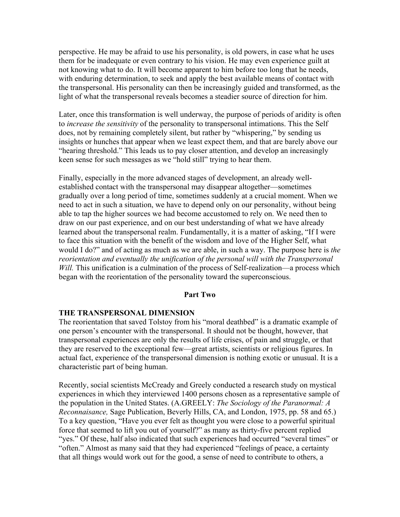perspective. He may be afraid to use his personality, is old powers, in case what he uses them for be inadequate or even contrary to his vision. He may even experience guilt at not knowing what to do. It will become apparent to him before too long that he needs, with enduring determination, to seek and apply the best available means of contact with the transpersonal. His personality can then be increasingly guided and transformed, as the light of what the transpersonal reveals becomes a steadier source of direction for him.

Later, once this transformation is well underway, the purpose of periods of aridity is often to *increase the sensitivity* of the personality to transpersonal intimations. This the Self does, not by remaining completely silent, but rather by "whispering," by sending us insights or hunches that appear when we least expect them, and that are barely above our "hearing threshold." This leads us to pay closer attention, and develop an increasingly keen sense for such messages as we "hold still" trying to hear them.

Finally, especially in the more advanced stages of development, an already wellestablished contact with the transpersonal may disappear altogether—sometimes gradually over a long period of time, sometimes suddenly at a crucial moment. When we need to act in such a situation, we have to depend only on our personality, without being able to tap the higher sources we had become accustomed to rely on. We need then to draw on our past experience, and on our best understanding of what we have already learned about the transpersonal realm. Fundamentally, it is a matter of asking, "If I were to face this situation with the benefit of the wisdom and love of the Higher Self, what would I do?" and of acting as much as we are able, in such a way. The purpose here is *the reorientation and eventually the unification of the personal will with the Transpersonal Will.* This unification is a culmination of the process of Self-realization—a process which began with the reorientation of the personality toward the superconscious.

#### **Part Two**

#### **THE TRANSPERSONAL DIMENSION**

The reorientation that saved Tolstoy from his "moral deathbed" is a dramatic example of one person's encounter with the transpersonal. It should not be thought, however, that transpersonal experiences are only the results of life crises, of pain and struggle, or that they are reserved to the exceptional few—great artists, scientists or religious figures. In actual fact, experience of the transpersonal dimension is nothing exotic or unusual. It is a characteristic part of being human.

Recently, social scientists McCready and Greely conducted a research study on mystical experiences in which they interviewed 1400 persons chosen as a representative sample of the population in the United States. (A.GREELY: *The Sociology of the Paranormal: A Reconnaisance,* Sage Publication, Beverly Hills, CA, and London, 1975, pp. 58 and 65.) To a key question, "Have you ever felt as thought you were close to a powerful spiritual force that seemed to lift you out of yourself?" as many as thirty-five percent replied "yes." Of these, half also indicated that such experiences had occurred "several times" or "often." Almost as many said that they had experienced "feelings of peace, a certainty that all things would work out for the good, a sense of need to contribute to others, a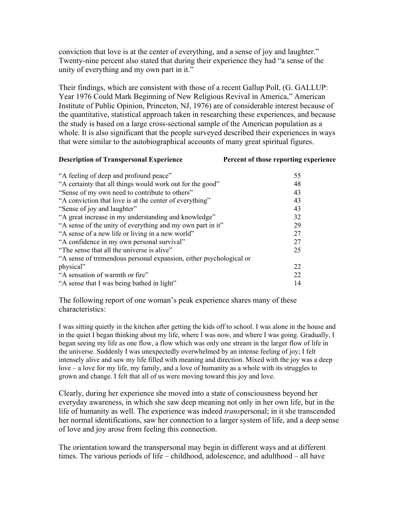conviction that love is at the center of everything, and a sense of joy and laughter." Twenty-nine percent also stated that during their experience they had "a sense of the unity of everything and my own part in it."

Their findings, which are consistent with those of a recent Gallup Poll, (G. GALLUP: Year 1976 Could Mark Beginning of New Religious Revival in America," American Institute of Public Opinion, Princeton, NJ, 1976) are of considerable interest because of the quantitative, statistical approach taken in researching these experiences, and because the study is based on a large cross-sectional sample of the American population as a whole. It is also significant that the people surveyed described their experiences in ways that were similar to the autobiographical accounts of many great spiritual figures.

#### **Description of Transpersonal Experience Percent of those reporting experience**

| "A feeling of deep and profound peace"                             | 55 |
|--------------------------------------------------------------------|----|
| "A certainty that all things would work out for the good"          | 48 |
| "Sense of my own need to contribute to others"                     | 43 |
| "A conviction that love is at the center of everything"            | 43 |
| "Sense of joy and laughter"                                        | 43 |
| "A great increase in my understanding and knowledge"               | 32 |
| "A sense of the unity of everything and my own part in it"         | 29 |
| "A sense of a new life or living in a new world"                   | 27 |
| "A confidence in my own personal survival"                         | 27 |
| "The sense that all the universe is alive"                         | 25 |
| "A sense of tremendous personal expansion, either psychological or |    |
| physical"                                                          | 22 |
| "A sensation of warmth or fire"                                    | 22 |
| "A sense that I was being bathed in light"                         | 14 |
|                                                                    |    |

The following report of one woman's peak experience shares many of these characteristics:

I was sitting quietly in the kitchen after getting the kids off to school. I was alone in the house and in the quiet I began thinking about my life, where I was now, and where I was going. Gradually, I began seeing my life as one flow, a flow which was only one stream in the larger flow of life in the universe. Suddenly I was unexpectedly overwhelmed by an intense feeling of joy; I felt intensely alive and saw my life filled with meaning and direction. Mixed with the joy was a deep love – a love for my life, my family, and a love of humanity as a whole with its struggles to grown and change. I felt that all of us were moving toward this joy and love.

Clearly, during her experience she moved into a state of consciousness beyond her everyday awareness, in which she saw deep meaning not only in her own life, but in the life of humanity as well. The experience was indeed *trans*personal; in it she transcended her normal identifications, saw her connection to a larger system of life, and a deep sense of love and joy arose from feeling this connection.

The orientation toward the transpersonal may begin in different ways and at different times. The various periods of life – childhood, adolescence, and adulthood – all have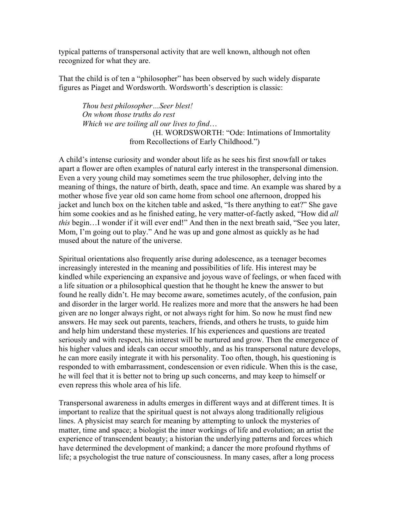typical patterns of transpersonal activity that are well known, although not often recognized for what they are.

That the child is of ten a "philosopher" has been observed by such widely disparate figures as Piaget and Wordsworth. Wordsworth's description is classic:

*Thou best philosopher…Seer blest! On whom those truths do rest Which we are toiling all our lives to find*… (H. WORDSWORTH: "Ode: Intimations of Immortality from Recollections of Early Childhood.")

A child's intense curiosity and wonder about life as he sees his first snowfall or takes apart a flower are often examples of natural early interest in the transpersonal dimension. Even a very young child may sometimes seem the true philosopher, delving into the meaning of things, the nature of birth, death, space and time. An example was shared by a mother whose five year old son came home from school one afternoon, dropped his jacket and lunch box on the kitchen table and asked, "Is there anything to eat?" She gave him some cookies and as he finished eating, he very matter-of-factly asked, "How did *all this* begin...I wonder if it will ever end!" And then in the next breath said, "See you later, Mom, I'm going out to play." And he was up and gone almost as quickly as he had mused about the nature of the universe.

Spiritual orientations also frequently arise during adolescence, as a teenager becomes increasingly interested in the meaning and possibilities of life. His interest may be kindled while experiencing an expansive and joyous wave of feelings, or when faced with a life situation or a philosophical question that he thought he knew the answer to but found he really didn't. He may become aware, sometimes acutely, of the confusion, pain and disorder in the larger world. He realizes more and more that the answers he had been given are no longer always right, or not always right for him. So now he must find new answers. He may seek out parents, teachers, friends, and others he trusts, to guide him and help him understand these mysteries. If his experiences and questions are treated seriously and with respect, his interest will be nurtured and grow. Then the emergence of his higher values and ideals can occur smoothly, and as his transpersonal nature develops, he can more easily integrate it with his personality. Too often, though, his questioning is responded to with embarrassment, condescension or even ridicule. When this is the case, he will feel that it is better not to bring up such concerns, and may keep to himself or even repress this whole area of his life.

Transpersonal awareness in adults emerges in different ways and at different times. It is important to realize that the spiritual quest is not always along traditionally religious lines. A physicist may search for meaning by attempting to unlock the mysteries of matter, time and space; a biologist the inner workings of life and evolution; an artist the experience of transcendent beauty; a historian the underlying patterns and forces which have determined the development of mankind; a dancer the more profound rhythms of life; a psychologist the true nature of consciousness. In many cases, after a long process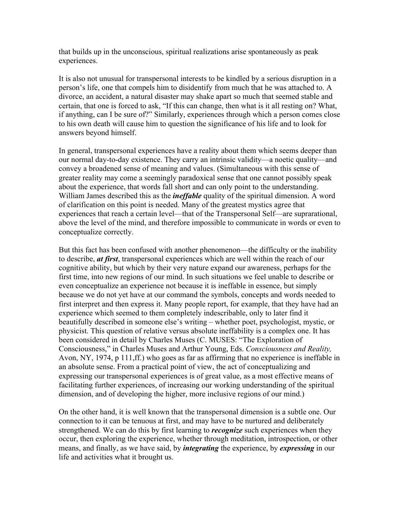that builds up in the unconscious, spiritual realizations arise spontaneously as peak experiences.

It is also not unusual for transpersonal interests to be kindled by a serious disruption in a person's life, one that compels him to disidentify from much that he was attached to. A divorce, an accident, a natural disaster may shake apart so much that seemed stable and certain, that one is forced to ask, "If this can change, then what is it all resting on? What, if anything, can I be sure of?" Similarly, experiences through which a person comes close to his own death will cause him to question the significance of his life and to look for answers beyond himself.

In general, transpersonal experiences have a reality about them which seems deeper than our normal day-to-day existence. They carry an intrinsic validity—a noetic quality—and convey a broadened sense of meaning and values. (Simultaneous with this sense of greater reality may come a seemingly paradoxical sense that one cannot possibly speak about the experience, that words fall short and can only point to the understanding. William James described this as the *ineffable* quality of the spiritual dimension. A word of clarification on this point is needed. Many of the greatest mystics agree that experiences that reach a certain level—that of the Transpersonal Self—are suprarational, above the level of the mind, and therefore impossible to communicate in words or even to conceptualize correctly.

But this fact has been confused with another phenomenon—the difficulty or the inability to describe, *at first*, transpersonal experiences which are well within the reach of our cognitive ability, but which by their very nature expand our awareness, perhaps for the first time, into new regions of our mind. In such situations we feel unable to describe or even conceptualize an experience not because it is ineffable in essence, but simply because we do not yet have at our command the symbols, concepts and words needed to first interpret and then express it. Many people report, for example, that they have had an experience which seemed to them completely indescribable, only to later find it beautifully described in someone else's writing – whether poet, psychologist, mystic, or physicist. This question of relative versus absolute ineffability is a complex one. It has been considered in detail by Charles Muses (C. MUSES: "The Exploration of Consciousness," in Charles Muses and Arthur Young, Eds. *Consciousness and Reality,* Avon, NY, 1974, p 111,ff.) who goes as far as affirming that no experience is ineffable in an absolute sense. From a practical point of view, the act of conceptualizing and expressing our transpersonal experiences is of great value, as a most effective means of facilitating further experiences, of increasing our working understanding of the spiritual dimension, and of developing the higher, more inclusive regions of our mind.)

On the other hand, it is well known that the transpersonal dimension is a subtle one. Our connection to it can be tenuous at first, and may have to be nurtured and deliberately strengthened. We can do this by first learning to *recognize* such experiences when they occur, then exploring the experience, whether through meditation, introspection, or other means, and finally, as we have said, by *integrating* the experience, by *expressing* in our life and activities what it brought us.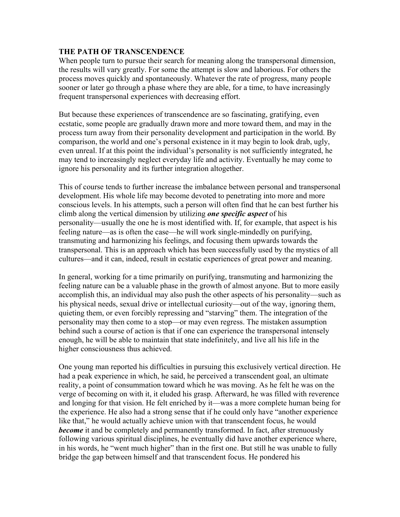## **THE PATH OF TRANSCENDENCE**

When people turn to pursue their search for meaning along the transpersonal dimension, the results will vary greatly. For some the attempt is slow and laborious. For others the process moves quickly and spontaneously. Whatever the rate of progress, many people sooner or later go through a phase where they are able, for a time, to have increasingly frequent transpersonal experiences with decreasing effort.

But because these experiences of transcendence are so fascinating, gratifying, even ecstatic, some people are gradually drawn more and more toward them, and may in the process turn away from their personality development and participation in the world. By comparison, the world and one's personal existence in it may begin to look drab, ugly, even unreal. If at this point the individual's personality is not sufficiently integrated, he may tend to increasingly neglect everyday life and activity. Eventually he may come to ignore his personality and its further integration altogether.

This of course tends to further increase the imbalance between personal and transpersonal development. His whole life may become devoted to penetrating into more and more conscious levels. In his attempts, such a person will often find that he can best further his climb along the vertical dimension by utilizing *one specific aspect* of his personality—usually the one he is most identified with. If, for example, that aspect is his feeling nature—as is often the case—he will work single-mindedly on purifying, transmuting and harmonizing his feelings, and focusing them upwards towards the transpersonal. This is an approach which has been successfully used by the mystics of all cultures—and it can, indeed, result in ecstatic experiences of great power and meaning.

In general, working for a time primarily on purifying, transmuting and harmonizing the feeling nature can be a valuable phase in the growth of almost anyone. But to more easily accomplish this, an individual may also push the other aspects of his personality—such as his physical needs, sexual drive or intellectual curiosity—out of the way, ignoring them, quieting them, or even forcibly repressing and "starving" them. The integration of the personality may then come to a stop—or may even regress. The mistaken assumption behind such a course of action is that if one can experience the transpersonal intensely enough, he will be able to maintain that state indefinitely, and live all his life in the higher consciousness thus achieved.

One young man reported his difficulties in pursuing this exclusively vertical direction. He had a peak experience in which, he said, he perceived a transcendent goal, an ultimate reality, a point of consummation toward which he was moving. As he felt he was on the verge of becoming on with it, it eluded his grasp. Afterward, he was filled with reverence and longing for that vision. He felt enriched by it—was a more complete human being for the experience. He also had a strong sense that if he could only have "another experience like that," he would actually achieve union with that transcendent focus, he would *become* it and be completely and permanently transformed. In fact, after strenuously following various spiritual disciplines, he eventually did have another experience where, in his words, he "went much higher" than in the first one. But still he was unable to fully bridge the gap between himself and that transcendent focus. He pondered his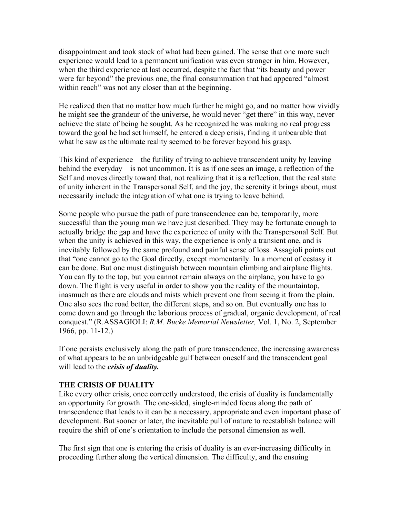disappointment and took stock of what had been gained. The sense that one more such experience would lead to a permanent unification was even stronger in him. However, when the third experience at last occurred, despite the fact that "its beauty and power were far beyond" the previous one, the final consummation that had appeared "almost within reach" was not any closer than at the beginning.

He realized then that no matter how much further he might go, and no matter how vividly he might see the grandeur of the universe, he would never "get there" in this way, never achieve the state of being he sought. As he recognized he was making no real progress toward the goal he had set himself, he entered a deep crisis, finding it unbearable that what he saw as the ultimate reality seemed to be forever beyond his grasp.

This kind of experience—the futility of trying to achieve transcendent unity by leaving behind the everyday—is not uncommon. It is as if one sees an image, a reflection of the Self and moves directly toward that, not realizing that it is a reflection, that the real state of unity inherent in the Transpersonal Self, and the joy, the serenity it brings about, must necessarily include the integration of what one is trying to leave behind.

Some people who pursue the path of pure transcendence can be, temporarily, more successful than the young man we have just described. They may be fortunate enough to actually bridge the gap and have the experience of unity with the Transpersonal Self. But when the unity is achieved in this way, the experience is only a transient one, and is inevitably followed by the same profound and painful sense of loss. Assagioli points out that "one cannot go to the Goal directly, except momentarily. In a moment of ecstasy it can be done. But one must distinguish between mountain climbing and airplane flights. You can fly to the top, but you cannot remain always on the airplane, you have to go down. The flight is very useful in order to show you the reality of the mountaintop, inasmuch as there are clouds and mists which prevent one from seeing it from the plain. One also sees the road better, the different steps, and so on. But eventually one has to come down and go through the laborious process of gradual, organic development, of real conquest." (R.ASSAGIOLI: *R.M. Bucke Memorial Newsletter,* Vol. 1, No. 2, September 1966, pp. 11-12.)

If one persists exclusively along the path of pure transcendence, the increasing awareness of what appears to be an unbridgeable gulf between oneself and the transcendent goal will lead to the *crisis of duality.*

## **THE CRISIS OF DUALITY**

Like every other crisis, once correctly understood, the crisis of duality is fundamentally an opportunity for growth. The one-sided, single-minded focus along the path of transcendence that leads to it can be a necessary, appropriate and even important phase of development. But sooner or later, the inevitable pull of nature to reestablish balance will require the shift of one's orientation to include the personal dimension as well.

The first sign that one is entering the crisis of duality is an ever-increasing difficulty in proceeding further along the vertical dimension. The difficulty, and the ensuing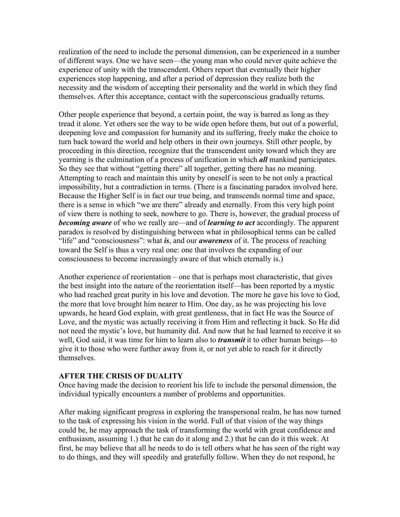realization of the need to include the personal dimension, can be experienced in a number of different ways. One we have seen—the young man who could never quite achieve the experience of unity with the transcendent. Others report that eventually their higher experiences stop happening, and after a period of depression they realize both the necessity and the wisdom of accepting their personality and the world in which they find themselves. After this acceptance, contact with the superconscious gradually returns.

Other people experience that beyond, a certain point, the way is barred as long as they tread it alone. Yet others see the way to be wide open before them, but out of a powerful, deepening love and compassion for humanity and its suffering, freely make the choice to turn back toward the world and help others in their own journeys. Still other people, by proceeding in this direction, recognize that the transcendent unity toward which they are yearning is the culmination of a process of unification in which *all* mankind participates. So they see that without "getting there" all together, getting there has no meaning. Attempting to reach and maintain this unity by oneself is seen to be not only a practical impossibility, but a contradiction in terms. (There is a fascinating paradox involved here. Because the Higher Self is in fact our true being, and transcends normal time and space, there is a sense in which "we are there" already and eternally. From this very high point of view there is nothing to seek, nowhere to go. There is, however, the gradual process of *becoming aware* of who we really are—and of *learning to act* accordingly. The apparent paradox is resolved by distinguishing between what in philosophical terms can be called "life" and "consciousness": what *is*, and our *awareness* of it. The process of reaching toward the Self is thus a very real one: one that involves the expanding of our consciousness to become increasingly aware of that which eternally is.)

Another experience of reorientation – one that is perhaps most characteristic, that gives the best insight into the nature of the reorientation itself—has been reported by a mystic who had reached great purity in his love and devotion. The more he gave his love to God, the more that love brought him nearer to Him. One day, as he was projecting his love upwards, he heard God explain, with great gentleness, that in fact He was the Source of Love, and the mystic was actually receiving it from Him and reflecting it back. So He did not need the mystic's love, but humanity did. And now that he had learned to receive it so well, God said, it was time for him to learn also to *transmit* it to other human beings—to give it to those who were further away from it, or not yet able to reach for it directly themselves.

#### **AFTER THE CRISIS OF DUALITY**

Once having made the decision to reorient his life to include the personal dimension, the individual typically encounters a number of problems and opportunities.

After making significant progress in exploring the transpersonal realm, he has now turned to the task of expressing his vision in the world. Full of that vision of the way things could be, he may approach the task of transforming the world with great confidence and enthusiasm, assuming 1.) that he can do it along and 2.) that he can do it this week. At first, he may believe that all he needs to do is tell others what he has seen of the right way to do things, and they will speedily and gratefully follow. When they do not respond, he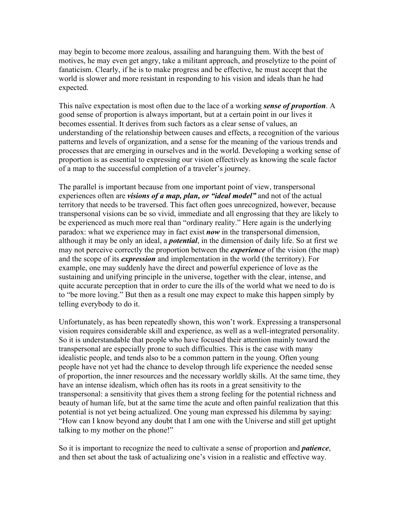may begin to become more zealous, assailing and haranguing them. With the best of motives, he may even get angry, take a militant approach, and proselytize to the point of fanaticism. Clearly, if he is to make progress and be effective, he must accept that the world is slower and more resistant in responding to his vision and ideals than he had expected.

This naïve expectation is most often due to the lace of a working *sense of proportion*. A good sense of proportion is always important, but at a certain point in our lives it becomes essential. It derives from such factors as a clear sense of values, an understanding of the relationship between causes and effects, a recognition of the various patterns and levels of organization, and a sense for the meaning of the various trends and processes that are emerging in ourselves and in the world. Developing a working sense of proportion is as essential to expressing our vision effectively as knowing the scale factor of a map to the successful completion of a traveler's journey.

The parallel is important because from one important point of view, transpersonal experiences often are *visions of a map, plan, or "ideal model"* and not of the actual territory that needs to be traversed. This fact often goes unrecognized, however, because transpersonal visions can be so vivid, immediate and all engrossing that they are likely to be experienced as much more real than "ordinary reality." Here again is the underlying paradox: what we experience may in fact exist *now* in the transpersonal dimension, although it may be only an ideal, a *potential*, in the dimension of daily life. So at first we may not perceive correctly the proportion between the *experience* of the vision (the map) and the scope of its *expression* and implementation in the world (the territory). For example, one may suddenly have the direct and powerful experience of love as the sustaining and unifying principle in the universe, together with the clear, intense, and quite accurate perception that in order to cure the ills of the world what we need to do is to "be more loving." But then as a result one may expect to make this happen simply by telling everybody to do it.

Unfortunately, as has been repeatedly shown, this won't work. Expressing a transpersonal vision requires considerable skill and experience, as well as a well-integrated personality. So it is understandable that people who have focused their attention mainly toward the transpersonal are especially prone to such difficulties. This is the case with many idealistic people, and tends also to be a common pattern in the young. Often young people have not yet had the chance to develop through life experience the needed sense of proportion, the inner resources and the necessary worldly skills. At the same time, they have an intense idealism, which often has its roots in a great sensitivity to the transpersonal: a sensitivity that gives them a strong feeling for the potential richness and beauty of human life, but at the same time the acute and often painful realization that this potential is not yet being actualized. One young man expressed his dilemma by saying: "How can I know beyond any doubt that I am one with the Universe and still get uptight talking to my mother on the phone!"

So it is important to recognize the need to cultivate a sense of proportion and *patience*, and then set about the task of actualizing one's vision in a realistic and effective way.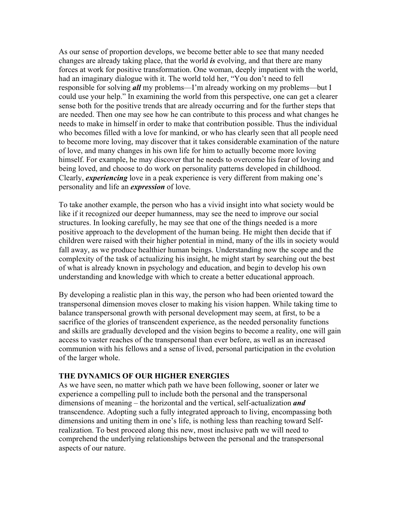As our sense of proportion develops, we become better able to see that many needed changes are already taking place, that the world *is* evolving, and that there are many forces at work for positive transformation. One woman, deeply impatient with the world, had an imaginary dialogue with it. The world told her, "You don't need to fell responsible for solving *all* my problems—I'm already working on my problems—but I could use your help." In examining the world from this perspective, one can get a clearer sense both for the positive trends that are already occurring and for the further steps that are needed. Then one may see how he can contribute to this process and what changes he needs to make in himself in order to make that contribution possible. Thus the individual who becomes filled with a love for mankind, or who has clearly seen that all people need to become more loving, may discover that it takes considerable examination of the nature of love, and many changes in his own life for him to actually become more loving himself. For example, he may discover that he needs to overcome his fear of loving and being loved, and choose to do work on personality patterns developed in childhood. Clearly, *experiencing* love in a peak experience is very different from making one's personality and life an *expression* of love.

To take another example, the person who has a vivid insight into what society would be like if it recognized our deeper humanness, may see the need to improve our social structures. In looking carefully, he may see that one of the things needed is a more positive approach to the development of the human being. He might then decide that if children were raised with their higher potential in mind, many of the ills in society would fall away, as we produce healthier human beings. Understanding now the scope and the complexity of the task of actualizing his insight, he might start by searching out the best of what is already known in psychology and education, and begin to develop his own understanding and knowledge with which to create a better educational approach.

By developing a realistic plan in this way, the person who had been oriented toward the transpersonal dimension moves closer to making his vision happen. While taking time to balance transpersonal growth with personal development may seem, at first, to be a sacrifice of the glories of transcendent experience, as the needed personality functions and skills are gradually developed and the vision begins to become a reality, one will gain access to vaster reaches of the transpersonal than ever before, as well as an increased communion with his fellows and a sense of lived, personal participation in the evolution of the larger whole.

#### **THE DYNAMICS OF OUR HIGHER ENERGIES**

As we have seen, no matter which path we have been following, sooner or later we experience a compelling pull to include both the personal and the transpersonal dimensions of meaning – the horizontal and the vertical, self-actualization *and* transcendence. Adopting such a fully integrated approach to living, encompassing both dimensions and uniting them in one's life, is nothing less than reaching toward Selfrealization. To best proceed along this new, most inclusive path we will need to comprehend the underlying relationships between the personal and the transpersonal aspects of our nature.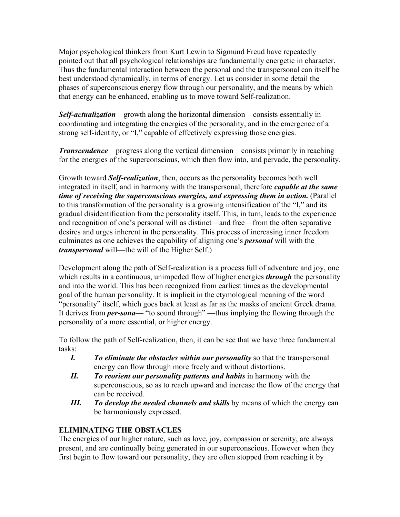Major psychological thinkers from Kurt Lewin to Sigmund Freud have repeatedly pointed out that all psychological relationships are fundamentally energetic in character. Thus the fundamental interaction between the personal and the transpersonal can itself be best understood dynamically, in terms of energy. Let us consider in some detail the phases of superconscious energy flow through our personality, and the means by which that energy can be enhanced, enabling us to move toward Self-realization.

*Self-actualization*—growth along the horizontal dimension—consists essentially in coordinating and integrating the energies of the personality, and in the emergence of a strong self-identity, or "I," capable of effectively expressing those energies.

*Transcendence*—progress along the vertical dimension – consists primarily in reaching for the energies of the superconscious, which then flow into, and pervade, the personality.

Growth toward *Self-realization*, then, occurs as the personality becomes both well integrated in itself, and in harmony with the transpersonal, therefore *capable at the same time of receiving the superconscious energies, and expressing them in action.* (Parallel to this transformation of the personality is a growing intensification of the "I," and its gradual disidentification from the personality itself. This, in turn, leads to the experience and recognition of one's personal will as distinct—and free—from the often separative desires and urges inherent in the personality. This process of increasing inner freedom culminates as one achieves the capability of aligning one's *personal* will with the *transpersonal* will—the will of the Higher Self.)

Development along the path of Self-realization is a process full of adventure and joy, one which results in a continuous, unimpeded flow of higher energies *through* the personality and into the world. This has been recognized from earliest times as the developmental goal of the human personality. It is implicit in the etymological meaning of the word "personality" itself, which goes back at least as far as the masks of ancient Greek drama. It derives from *per-sona*— "to sound through" —thus implying the flowing through the personality of a more essential, or higher energy.

To follow the path of Self-realization, then, it can be see that we have three fundamental tasks:

- *I. To eliminate the obstacles within our personality* so that the transpersonal energy can flow through more freely and without distortions.
- *II. To reorient our personality patterns and habits* in harmony with the superconscious, so as to reach upward and increase the flow of the energy that can be received.
- *III. To develop the needed channels and skills* by means of which the energy can be harmoniously expressed.

# **ELIMINATING THE OBSTACLES**

The energies of our higher nature, such as love, joy, compassion or serenity, are always present, and are continually being generated in our superconscious. However when they first begin to flow toward our personality, they are often stopped from reaching it by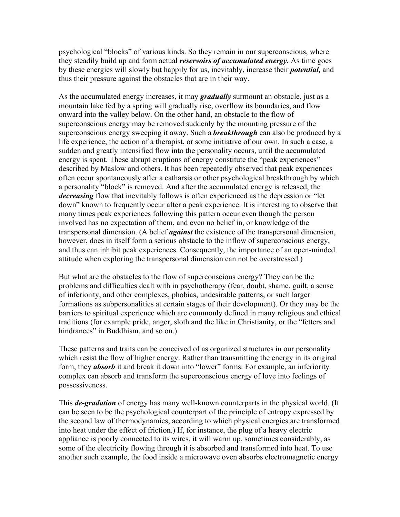psychological "blocks" of various kinds. So they remain in our superconscious, where they steadily build up and form actual *reservoirs of accumulated energy.* As time goes by these energies will slowly but happily for us, inevitably, increase their *potential,* and thus their pressure against the obstacles that are in their way.

As the accumulated energy increases, it may *gradually* surmount an obstacle, just as a mountain lake fed by a spring will gradually rise, overflow its boundaries, and flow onward into the valley below. On the other hand, an obstacle to the flow of superconscious energy may be removed suddenly by the mounting pressure of the superconscious energy sweeping it away. Such a *breakthrough* can also be produced by a life experience, the action of a therapist, or some initiative of our own. In such a case, a sudden and greatly intensified flow into the personality occurs, until the accumulated energy is spent. These abrupt eruptions of energy constitute the "peak experiences" described by Maslow and others. It has been repeatedly observed that peak experiences often occur spontaneously after a catharsis or other psychological breakthrough by which a personality "block" is removed. And after the accumulated energy is released, the *decreasing* flow that inevitably follows is often experienced as the depression or "let down" known to frequently occur after a peak experience. It is interesting to observe that many times peak experiences following this pattern occur even though the person involved has no expectation of them, and even no belief in, or knowledge of the transpersonal dimension. (A belief *against* the existence of the transpersonal dimension, however, does in itself form a serious obstacle to the inflow of superconscious energy, and thus can inhibit peak experiences. Consequently, the importance of an open-minded attitude when exploring the transpersonal dimension can not be overstressed.)

But what are the obstacles to the flow of superconscious energy? They can be the problems and difficulties dealt with in psychotherapy (fear, doubt, shame, guilt, a sense of inferiority, and other complexes, phobias, undesirable patterns, or such larger formations as subpersonalities at certain stages of their development). Or they may be the barriers to spiritual experience which are commonly defined in many religious and ethical traditions (for example pride, anger, sloth and the like in Christianity, or the "fetters and hindrances" in Buddhism, and so on.)

These patterns and traits can be conceived of as organized structures in our personality which resist the flow of higher energy. Rather than transmitting the energy in its original form, they *absorb* it and break it down into "lower" forms. For example, an inferiority complex can absorb and transform the superconscious energy of love into feelings of possessiveness.

This *de-gradation* of energy has many well-known counterparts in the physical world. (It can be seen to be the psychological counterpart of the principle of entropy expressed by the second law of thermodynamics, according to which physical energies are transformed into heat under the effect of friction.) If, for instance, the plug of a heavy electric appliance is poorly connected to its wires, it will warm up, sometimes considerably, as some of the electricity flowing through it is absorbed and transformed into heat. To use another such example, the food inside a microwave oven absorbs electromagnetic energy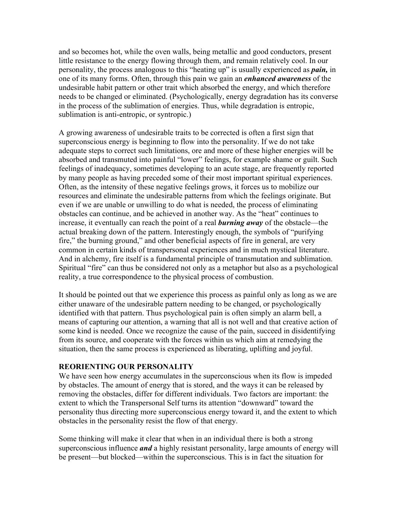and so becomes hot, while the oven walls, being metallic and good conductors, present little resistance to the energy flowing through them, and remain relatively cool. In our personality, the process analogous to this "heating up" is usually experienced as *pain,* in one of its many forms. Often, through this pain we gain an *enhanced awareness* of the undesirable habit pattern or other trait which absorbed the energy, and which therefore needs to be changed or eliminated. (Psychologically, energy degradation has its converse in the process of the sublimation of energies. Thus, while degradation is entropic, sublimation is anti-entropic, or syntropic.)

A growing awareness of undesirable traits to be corrected is often a first sign that superconscious energy is beginning to flow into the personality. If we do not take adequate steps to correct such limitations, ore and more of these higher energies will be absorbed and transmuted into painful "lower" feelings, for example shame or guilt. Such feelings of inadequacy, sometimes developing to an acute stage, are frequently reported by many people as having preceded some of their most important spiritual experiences. Often, as the intensity of these negative feelings grows, it forces us to mobilize our resources and eliminate the undesirable patterns from which the feelings originate. But even if we are unable or unwilling to do what is needed, the process of eliminating obstacles can continue, and be achieved in another way. As the "heat" continues to increase, it eventually can reach the point of a real *burning away* of the obstacle—the actual breaking down of the pattern. Interestingly enough, the symbols of "purifying fire," the burning ground," and other beneficial aspects of fire in general, are very common in certain kinds of transpersonal experiences and in much mystical literature. And in alchemy, fire itself is a fundamental principle of transmutation and sublimation. Spiritual "fire" can thus be considered not only as a metaphor but also as a psychological reality, a true correspondence to the physical process of combustion.

It should be pointed out that we experience this process as painful only as long as we are either unaware of the undesirable pattern needing to be changed, or psychologically identified with that pattern. Thus psychological pain is often simply an alarm bell, a means of capturing our attention, a warning that all is not well and that creative action of some kind is needed. Once we recognize the cause of the pain, succeed in disidentifying from its source, and cooperate with the forces within us which aim at remedying the situation, then the same process is experienced as liberating, uplifting and joyful.

#### **REORIENTING OUR PERSONALITY**

We have seen how energy accumulates in the superconscious when its flow is impeded by obstacles. The amount of energy that is stored, and the ways it can be released by removing the obstacles, differ for different individuals. Two factors are important: the extent to which the Transpersonal Self turns its attention "downward" toward the personality thus directing more superconscious energy toward it, and the extent to which obstacles in the personality resist the flow of that energy.

Some thinking will make it clear that when in an individual there is both a strong superconscious influence *and* a highly resistant personality, large amounts of energy will be present—but blocked—within the superconscious. This is in fact the situation for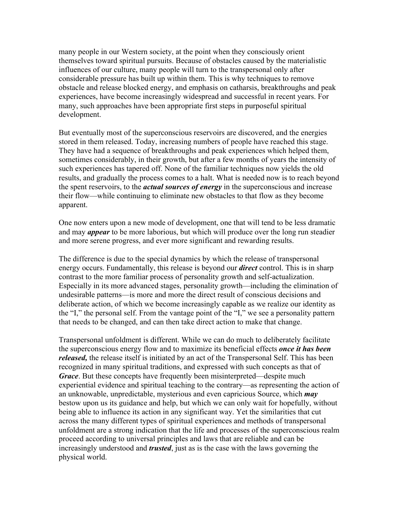many people in our Western society, at the point when they consciously orient themselves toward spiritual pursuits. Because of obstacles caused by the materialistic influences of our culture, many people will turn to the transpersonal only after considerable pressure has built up within them. This is why techniques to remove obstacle and release blocked energy, and emphasis on catharsis, breakthroughs and peak experiences, have become increasingly widespread and successful in recent years. For many, such approaches have been appropriate first steps in purposeful spiritual development.

But eventually most of the superconscious reservoirs are discovered, and the energies stored in them released. Today, increasing numbers of people have reached this stage. They have had a sequence of breakthroughs and peak experiences which helped them, sometimes considerably, in their growth, but after a few months of years the intensity of such experiences has tapered off. None of the familiar techniques now yields the old results, and gradually the process comes to a halt. What is needed now is to reach beyond the spent reservoirs, to the *actual sources of energy* in the superconscious and increase their flow—while continuing to eliminate new obstacles to that flow as they become apparent.

One now enters upon a new mode of development, one that will tend to be less dramatic and may *appear* to be more laborious, but which will produce over the long run steadier and more serene progress, and ever more significant and rewarding results.

The difference is due to the special dynamics by which the release of transpersonal energy occurs. Fundamentally, this release is beyond our *direct* control. This is in sharp contrast to the more familiar process of personality growth and self-actualization. Especially in its more advanced stages, personality growth—including the elimination of undesirable patterns—is more and more the direct result of conscious decisions and deliberate action, of which we become increasingly capable as we realize our identity as the "I," the personal self. From the vantage point of the "I," we see a personality pattern that needs to be changed, and can then take direct action to make that change.

Transpersonal unfoldment is different. While we can do much to deliberately facilitate the superconscious energy flow and to maximize its beneficial effects *once it has been released,* the release itself is initiated by an act of the Transpersonal Self. This has been recognized in many spiritual traditions, and expressed with such concepts as that of *Grace*. But these concepts have frequently been misinterpreted—despite much experiential evidence and spiritual teaching to the contrary—as representing the action of an unknowable, unpredictable, mysterious and even capricious Source, which *may* bestow upon us its guidance and help, but which we can only wait for hopefully, without being able to influence its action in any significant way. Yet the similarities that cut across the many different types of spiritual experiences and methods of transpersonal unfoldment are a strong indication that the life and processes of the superconscious realm proceed according to universal principles and laws that are reliable and can be increasingly understood and *trusted*, just as is the case with the laws governing the physical world.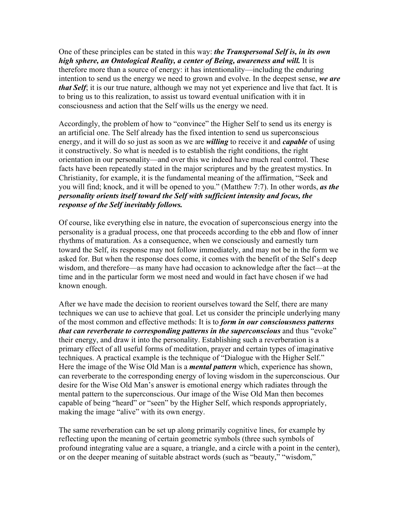One of these principles can be stated in this way: *the Transpersonal Self is, in its own high sphere, an Ontological Reality, a center of Being, awareness and will.* It is therefore more than a source of energy: it has intentionality—including the enduring intention to send us the energy we need to grown and evolve. In the deepest sense, *we are that Self*; it is our true nature, although we may not yet experience and live that fact. It is to bring us to this realization, to assist us toward eventual unification with it in consciousness and action that the Self wills us the energy we need.

Accordingly, the problem of how to "convince" the Higher Self to send us its energy is an artificial one. The Self already has the fixed intention to send us superconscious energy, and it will do so just as soon as we are *willing* to receive it and *capable* of using it constructively. So what is needed is to establish the right conditions, the right orientation in our personality—and over this we indeed have much real control. These facts have been repeatedly stated in the major scriptures and by the greatest mystics. In Christianity, for example, it is the fundamental meaning of the affirmation, "Seek and you will find; knock, and it will be opened to you." (Matthew 7:7). In other words, *as the personality orients itself toward the Self with sufficient intensity and focus, the response of the Self inevitably follows.*

Of course, like everything else in nature, the evocation of superconscious energy into the personality is a gradual process, one that proceeds according to the ebb and flow of inner rhythms of maturation. As a consequence, when we consciously and earnestly turn toward the Self, its response may not follow immediately, and may not be in the form we asked for. But when the response does come, it comes with the benefit of the Self's deep wisdom, and therefore—as many have had occasion to acknowledge after the fact—at the time and in the particular form we most need and would in fact have chosen if we had known enough.

After we have made the decision to reorient ourselves toward the Self, there are many techniques we can use to achieve that goal. Let us consider the principle underlying many of the most common and effective methods: It is to *form in our consciousness patterns that can reverberate to corresponding patterns in the superconscious* and thus "evoke" their energy, and draw it into the personality. Establishing such a reverberation is a primary effect of all useful forms of meditation, prayer and certain types of imaginative techniques. A practical example is the technique of "Dialogue with the Higher Self." Here the image of the Wise Old Man is a *mental pattern* which, experience has shown, can reverberate to the corresponding energy of loving wisdom in the superconscious. Our desire for the Wise Old Man's answer is emotional energy which radiates through the mental pattern to the superconscious. Our image of the Wise Old Man then becomes capable of being "heard" or "seen" by the Higher Self, which responds appropriately, making the image "alive" with its own energy.

The same reverberation can be set up along primarily cognitive lines, for example by reflecting upon the meaning of certain geometric symbols (three such symbols of profound integrating value are a square, a triangle, and a circle with a point in the center), or on the deeper meaning of suitable abstract words (such as "beauty," "wisdom,"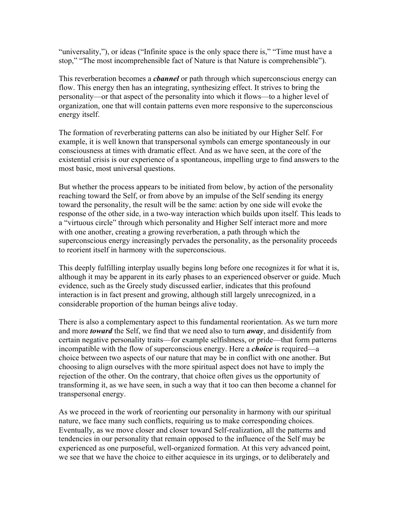"universality,"), or ideas ("Infinite space is the only space there is," "Time must have a stop," "The most incomprehensible fact of Nature is that Nature is comprehensible").

This reverberation becomes a *cbannel* or path through which superconscious energy can flow. This energy then has an integrating, synthesizing effect. It strives to bring the personality—or that aspect of the personality into which it flows—to a higher level of organization, one that will contain patterns even more responsive to the superconscious energy itself.

The formation of reverberating patterns can also be initiated by our Higher Self. For example, it is well known that transpersonal symbols can emerge spontaneously in our consciousness at times with dramatic effect. And as we have seen, at the core of the existential crisis is our experience of a spontaneous, impelling urge to find answers to the most basic, most universal questions.

But whether the process appears to be initiated from below, by action of the personality reaching toward the Self, or from above by an impulse of the Self sending its energy toward the personality, the result will be the same: action by one side will evoke the response of the other side, in a two-way interaction which builds upon itself. This leads to a "virtuous circle" through which personality and Higher Self interact more and more with one another, creating a growing reverberation, a path through which the superconscious energy increasingly pervades the personality, as the personality proceeds to reorient itself in harmony with the superconscious.

This deeply fulfilling interplay usually begins long before one recognizes it for what it is, although it may be apparent in its early phases to an experienced observer or guide. Much evidence, such as the Greely study discussed earlier, indicates that this profound interaction is in fact present and growing, although still largely unrecognized, in a considerable proportion of the human beings alive today.

There is also a complementary aspect to this fundamental reorientation. As we turn more and more *toward* the Self, we find that we need also to turn *away*, and disidentify from certain negative personality traits—for example selfishness, or pride—that form patterns incompatible with the flow of superconscious energy. Here a *choice* is required—a choice between two aspects of our nature that may be in conflict with one another. But choosing to align ourselves with the more spiritual aspect does not have to imply the rejection of the other. On the contrary, that choice often gives us the opportunity of transforming it, as we have seen, in such a way that it too can then become a channel for transpersonal energy.

As we proceed in the work of reorienting our personality in harmony with our spiritual nature, we face many such conflicts, requiring us to make corresponding choices. Eventually, as we move closer and closer toward Self-realization, all the patterns and tendencies in our personality that remain opposed to the influence of the Self may be experienced as one purposeful, well-organized formation. At this very advanced point, we see that we have the choice to either acquiesce in its urgings, or to deliberately and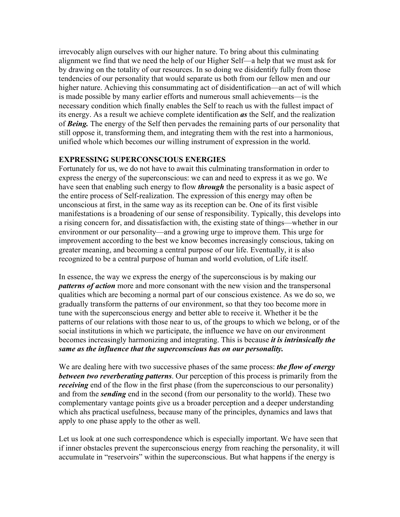irrevocably align ourselves with our higher nature. To bring about this culminating alignment we find that we need the help of our Higher Self—a help that we must ask for by drawing on the totality of our resources. In so doing we disidentify fully from those tendencies of our personality that would separate us both from our fellow men and our higher nature. Achieving this consummating act of disidentification—an act of will which is made possible by many earlier efforts and numerous small achievements—is the necessary condition which finally enables the Self to reach us with the fullest impact of its energy. As a result we achieve complete identification *as* the Self, and the realization of *Being.* The energy of the Self then pervades the remaining parts of our personality that still oppose it, transforming them, and integrating them with the rest into a harmonious, unified whole which becomes our willing instrument of expression in the world.

## **EXPRESSING SUPERCONSCIOUS ENERGIES**

Fortunately for us, we do not have to await this culminating transformation in order to express the energy of the superconscious: we can and need to express it as we go. We have seen that enabling such energy to flow *through* the personality is a basic aspect of the entire process of Self-realization. The expression of this energy may often be unconscious at first, in the same way as its reception can be. One of its first visible manifestations is a broadening of our sense of responsibility. Typically, this develops into a rising concern for, and dissatisfaction with, the existing state of things—whether in our environment or our personality—and a growing urge to improve them. This urge for improvement according to the best we know becomes increasingly conscious, taking on greater meaning, and becoming a central purpose of our life. Eventually, it is also recognized to be a central purpose of human and world evolution, of Life itself.

In essence, the way we express the energy of the superconscious is by making our *patterns of action* more and more consonant with the new vision and the transpersonal qualities which are becoming a normal part of our conscious existence. As we do so, we gradually transform the patterns of our environment, so that they too become more in tune with the superconscious energy and better able to receive it. Whether it be the patterns of our relations with those near to us, of the groups to which we belong, or of the social institutions in which we participate, the influence we have on our environment becomes increasingly harmonizing and integrating. This is because *it is intrinsically the same as the influence that the superconscious has on our personality.*

We are dealing here with two successive phases of the same process: *the flow of energy between two reverberating patterns*. Our perception of this process is primarily from the *receiving* end of the flow in the first phase (from the superconscious to our personality) and from the *sending* end in the second (from our personality to the world). These two complementary vantage points give us a broader perception and a deeper understanding which ahs practical usefulness, because many of the principles, dynamics and laws that apply to one phase apply to the other as well.

Let us look at one such correspondence which is especially important. We have seen that if inner obstacles prevent the superconscious energy from reaching the personality, it will accumulate in "reservoirs" within the superconscious. But what happens if the energy is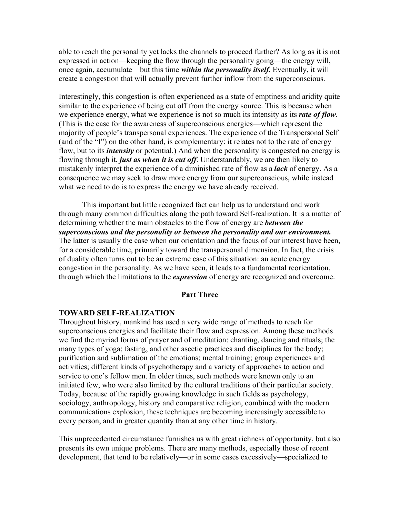able to reach the personality yet lacks the channels to proceed further? As long as it is not expressed in action—keeping the flow through the personality going—the energy will, once again, accumulate—but this time *within the personality itself.* Eventually, it will create a congestion that will actually prevent further inflow from the superconscious.

Interestingly, this congestion is often experienced as a state of emptiness and aridity quite similar to the experience of being cut off from the energy source. This is because when we experience energy, what we experience is not so much its intensity as its *rate of flow*. (This is the case for the awareness of superconscious energies—which represent the majority of people's transpersonal experiences. The experience of the Transpersonal Self (and of the "I") on the other hand, is complementary: it relates not to the rate of energy flow, but to its *intensity* or potential.) And when the personality is congested no energy is flowing through it, *just as when it is cut off*. Understandably, we are then likely to mistakenly interpret the experience of a diminished rate of flow as a *lack* of energy. As a consequence we may seek to draw more energy from our superconscious, while instead what we need to do is to express the energy we have already received.

This important but little recognized fact can help us to understand and work through many common difficulties along the path toward Self-realization. It is a matter of determining whether the main obstacles to the flow of energy are *between the superconscious and the personality or between the personality and our environment.* The latter is usually the case when our orientation and the focus of our interest have been, for a considerable time, primarily toward the transpersonal dimension. In fact, the crisis of duality often turns out to be an extreme case of this situation: an acute energy congestion in the personality. As we have seen, it leads to a fundamental reorientation, through which the limitations to the *expression* of energy are recognized and overcome.

#### **Part Three**

#### **TOWARD SELF-REALIZATION**

Throughout history, mankind has used a very wide range of methods to reach for superconscious energies and facilitate their flow and expression. Among these methods we find the myriad forms of prayer and of meditation: chanting, dancing and rituals; the many types of yoga; fasting, and other ascetic practices and disciplines for the body; purification and sublimation of the emotions; mental training; group experiences and activities; different kinds of psychotherapy and a variety of approaches to action and service to one's fellow men. In older times, such methods were known only to an initiated few, who were also limited by the cultural traditions of their particular society. Today, because of the rapidly growing knowledge in such fields as psychology, sociology, anthropology, history and comparative religion, combined with the modern communications explosion, these techniques are becoming increasingly accessible to every person, and in greater quantity than at any other time in history.

This unprecedented circumstance furnishes us with great richness of opportunity, but also presents its own unique problems. There are many methods, especially those of recent development, that tend to be relatively—or in some cases excessively—specialized to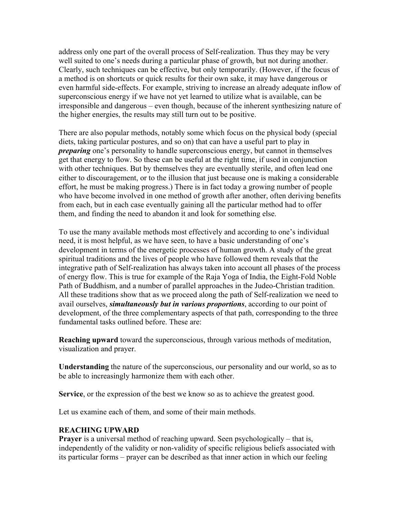address only one part of the overall process of Self-realization. Thus they may be very well suited to one's needs during a particular phase of growth, but not during another. Clearly, such techniques can be effective, but only temporarily. (However, if the focus of a method is on shortcuts or quick results for their own sake, it may have dangerous or even harmful side-effects. For example, striving to increase an already adequate inflow of superconscious energy if we have not yet learned to utilize what is available, can be irresponsible and dangerous – even though, because of the inherent synthesizing nature of the higher energies, the results may still turn out to be positive.

There are also popular methods, notably some which focus on the physical body (special diets, taking particular postures, and so on) that can have a useful part to play in *preparing* one's personality to handle superconscious energy, but cannot in themselves get that energy to flow. So these can be useful at the right time, if used in conjunction with other techniques. But by themselves they are eventually sterile, and often lead one either to discouragement, or to the illusion that just because one is making a considerable effort, he must be making progress.) There is in fact today a growing number of people who have become involved in one method of growth after another, often deriving benefits from each, but in each case eventually gaining all the particular method had to offer them, and finding the need to abandon it and look for something else.

To use the many available methods most effectively and according to one's individual need, it is most helpful, as we have seen, to have a basic understanding of one's development in terms of the energetic processes of human growth. A study of the great spiritual traditions and the lives of people who have followed them reveals that the integrative path of Self-realization has always taken into account all phases of the process of energy flow. This is true for example of the Raja Yoga of India, the Eight-Fold Noble Path of Buddhism, and a number of parallel approaches in the Judeo-Christian tradition. All these traditions show that as we proceed along the path of Self-realization we need to avail ourselves, *simultaneously but in various proportions*, according to our point of development, of the three complementary aspects of that path, corresponding to the three fundamental tasks outlined before. These are:

**Reaching upward** toward the superconscious, through various methods of meditation, visualization and prayer.

**Understanding** the nature of the superconscious, our personality and our world, so as to be able to increasingly harmonize them with each other.

**Service**, or the expression of the best we know so as to achieve the greatest good.

Let us examine each of them, and some of their main methods.

#### **REACHING UPWARD**

**Prayer** is a universal method of reaching upward. Seen psychologically – that is, independently of the validity or non-validity of specific religious beliefs associated with its particular forms – prayer can be described as that inner action in which our feeling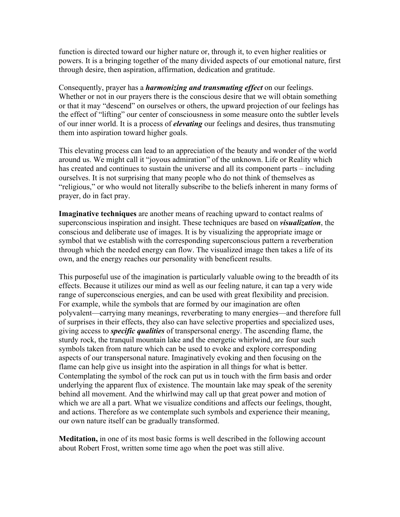function is directed toward our higher nature or, through it, to even higher realities or powers. It is a bringing together of the many divided aspects of our emotional nature, first through desire, then aspiration, affirmation, dedication and gratitude.

Consequently, prayer has a *harmonizing and transmuting effect* on our feelings. Whether or not in our prayers there is the conscious desire that we will obtain something or that it may "descend" on ourselves or others, the upward projection of our feelings has the effect of "lifting" our center of consciousness in some measure onto the subtler levels of our inner world. It is a process of *elevating* our feelings and desires, thus transmuting them into aspiration toward higher goals.

This elevating process can lead to an appreciation of the beauty and wonder of the world around us. We might call it "joyous admiration" of the unknown. Life or Reality which has created and continues to sustain the universe and all its component parts – including ourselves. It is not surprising that many people who do not think of themselves as "religious," or who would not literally subscribe to the beliefs inherent in many forms of prayer, do in fact pray.

**Imaginative techniques** are another means of reaching upward to contact realms of superconscious inspiration and insight. These techniques are based on *visualization*, the conscious and deliberate use of images. It is by visualizing the appropriate image or symbol that we establish with the corresponding superconscious pattern a reverberation through which the needed energy can flow. The visualized image then takes a life of its own, and the energy reaches our personality with beneficent results.

This purposeful use of the imagination is particularly valuable owing to the breadth of its effects. Because it utilizes our mind as well as our feeling nature, it can tap a very wide range of superconscious energies, and can be used with great flexibility and precision. For example, while the symbols that are formed by our imagination are often polyvalent—carrying many meanings, reverberating to many energies—and therefore full of surprises in their effects, they also can have selective properties and specialized uses, giving access to *specific qualities* of transpersonal energy. The ascending flame, the sturdy rock, the tranquil mountain lake and the energetic whirlwind, are four such symbols taken from nature which can be used to evoke and explore corresponding aspects of our transpersonal nature. Imaginatively evoking and then focusing on the flame can help give us insight into the aspiration in all things for what is better. Contemplating the symbol of the rock can put us in touch with the firm basis and order underlying the apparent flux of existence. The mountain lake may speak of the serenity behind all movement. And the whirlwind may call up that great power and motion of which we are all a part. What we visualize conditions and affects our feelings, thought, and actions. Therefore as we contemplate such symbols and experience their meaning, our own nature itself can be gradually transformed.

**Meditation,** in one of its most basic forms is well described in the following account about Robert Frost, written some time ago when the poet was still alive.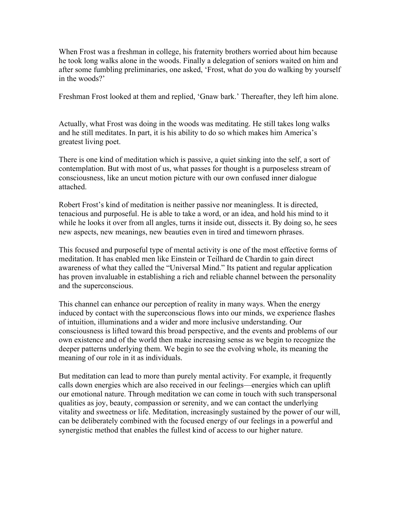When Frost was a freshman in college, his fraternity brothers worried about him because he took long walks alone in the woods. Finally a delegation of seniors waited on him and after some fumbling preliminaries, one asked, 'Frost, what do you do walking by yourself in the woods?'

Freshman Frost looked at them and replied, 'Gnaw bark.' Thereafter, they left him alone.

Actually, what Frost was doing in the woods was meditating. He still takes long walks and he still meditates. In part, it is his ability to do so which makes him America's greatest living poet.

There is one kind of meditation which is passive, a quiet sinking into the self, a sort of contemplation. But with most of us, what passes for thought is a purposeless stream of consciousness, like an uncut motion picture with our own confused inner dialogue attached.

Robert Frost's kind of meditation is neither passive nor meaningless. It is directed, tenacious and purposeful. He is able to take a word, or an idea, and hold his mind to it while he looks it over from all angles, turns it inside out, dissects it. By doing so, he sees new aspects, new meanings, new beauties even in tired and timeworn phrases.

This focused and purposeful type of mental activity is one of the most effective forms of meditation. It has enabled men like Einstein or Teilhard de Chardin to gain direct awareness of what they called the "Universal Mind." Its patient and regular application has proven invaluable in establishing a rich and reliable channel between the personality and the superconscious.

This channel can enhance our perception of reality in many ways. When the energy induced by contact with the superconscious flows into our minds, we experience flashes of intuition, illuminations and a wider and more inclusive understanding. Our consciousness is lifted toward this broad perspective, and the events and problems of our own existence and of the world then make increasing sense as we begin to recognize the deeper patterns underlying them. We begin to see the evolving whole, its meaning the meaning of our role in it as individuals.

But meditation can lead to more than purely mental activity. For example, it frequently calls down energies which are also received in our feelings—energies which can uplift our emotional nature. Through meditation we can come in touch with such transpersonal qualities as joy, beauty, compassion or serenity, and we can contact the underlying vitality and sweetness or life. Meditation, increasingly sustained by the power of our will, can be deliberately combined with the focused energy of our feelings in a powerful and synergistic method that enables the fullest kind of access to our higher nature.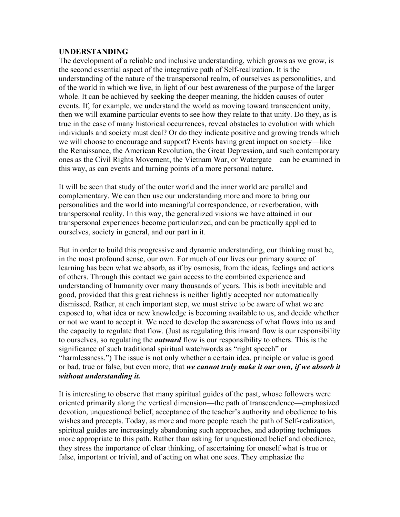#### **UNDERSTANDING**

The development of a reliable and inclusive understanding, which grows as we grow, is the second essential aspect of the integrative path of Self-realization. It is the understanding of the nature of the transpersonal realm, of ourselves as personalities, and of the world in which we live, in light of our best awareness of the purpose of the larger whole. It can be achieved by seeking the deeper meaning, the hidden causes of outer events. If, for example, we understand the world as moving toward transcendent unity, then we will examine particular events to see how they relate to that unity. Do they, as is true in the case of many historical occurrences, reveal obstacles to evolution with which individuals and society must deal? Or do they indicate positive and growing trends which we will choose to encourage and support? Events having great impact on society—like the Renaissance, the American Revolution, the Great Depression, and such contemporary ones as the Civil Rights Movement, the Vietnam War, or Watergate—can be examined in this way, as can events and turning points of a more personal nature.

It will be seen that study of the outer world and the inner world are parallel and complementary. We can then use our understanding more and more to bring our personalities and the world into meaningful correspondence, or reverberation, with transpersonal reality. In this way, the generalized visions we have attained in our transpersonal experiences become particularized, and can be practically applied to ourselves, society in general, and our part in it.

But in order to build this progressive and dynamic understanding, our thinking must be, in the most profound sense, our own. For much of our lives our primary source of learning has been what we absorb, as if by osmosis, from the ideas, feelings and actions of others. Through this contact we gain access to the combined experience and understanding of humanity over many thousands of years. This is both inevitable and good, provided that this great richness is neither lightly accepted nor automatically dismissed. Rather, at each important step, we must strive to be aware of what we are exposed to, what idea or new knowledge is becoming available to us, and decide whether or not we want to accept it. We need to develop the awareness of what flows into us and the capacity to regulate that flow. (Just as regulating this inward flow is our responsibility to ourselves, so regulating the *outward* flow is our responsibility to others. This is the significance of such traditional spiritual watchwords as "right speech" or "harmlessness.") The issue is not only whether a certain idea, principle or value is good or bad, true or false, but even more, that *we cannot truly make it our own, if we absorb it without understanding it.*

It is interesting to observe that many spiritual guides of the past, whose followers were oriented primarily along the vertical dimension—the path of transcendence—emphasized devotion, unquestioned belief, acceptance of the teacher's authority and obedience to his wishes and precepts. Today, as more and more people reach the path of Self-realization, spiritual guides are increasingly abandoning such approaches, and adopting techniques more appropriate to this path. Rather than asking for unquestioned belief and obedience, they stress the importance of clear thinking, of ascertaining for oneself what is true or false, important or trivial, and of acting on what one sees. They emphasize the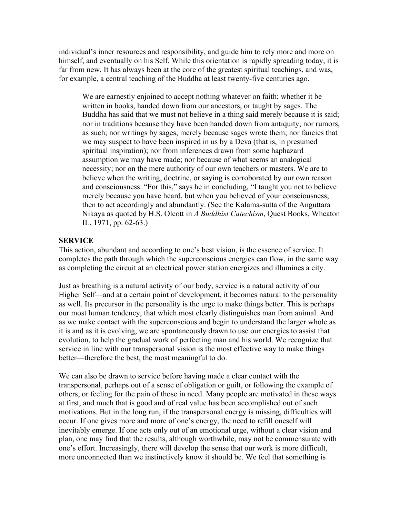individual's inner resources and responsibility, and guide him to rely more and more on himself, and eventually on his Self. While this orientation is rapidly spreading today, it is far from new. It has always been at the core of the greatest spiritual teachings, and was, for example, a central teaching of the Buddha at least twenty-five centuries ago.

We are earnestly enjoined to accept nothing whatever on faith; whether it be written in books, handed down from our ancestors, or taught by sages. The Buddha has said that we must not believe in a thing said merely because it is said; nor in traditions because they have been handed down from antiquity; nor rumors, as such; nor writings by sages, merely because sages wrote them; nor fancies that we may suspect to have been inspired in us by a Deva (that is, in presumed spiritual inspiration); nor from inferences drawn from some haphazard assumption we may have made; nor because of what seems an analogical necessity; nor on the mere authority of our own teachers or masters. We are to believe when the writing, doctrine, or saying is corroborated by our own reason and consciousness. "For this," says he in concluding, "I taught you not to believe merely because you have heard, but when you believed of your consciousness, then to act accordingly and abundantly. (See the Kalama-sutta of the Anguttara Nikaya as quoted by H.S. Olcott in *A Buddhist Catechism*, Quest Books, Wheaton IL, 1971, pp. 62-63.)

## **SERVICE**

This action, abundant and according to one's best vision, is the essence of service. It completes the path through which the superconscious energies can flow, in the same way as completing the circuit at an electrical power station energizes and illumines a city.

Just as breathing is a natural activity of our body, service is a natural activity of our Higher Self—and at a certain point of development, it becomes natural to the personality as well. Its precursor in the personality is the urge to make things better. This is perhaps our most human tendency, that which most clearly distinguishes man from animal. And as we make contact with the superconscious and begin to understand the larger whole as it is and as it is evolving, we are spontaneously drawn to use our energies to assist that evolution, to help the gradual work of perfecting man and his world. We recognize that service in line with our transpersonal vision is the most effective way to make things better—therefore the best, the most meaningful to do.

We can also be drawn to service before having made a clear contact with the transpersonal, perhaps out of a sense of obligation or guilt, or following the example of others, or feeling for the pain of those in need. Many people are motivated in these ways at first, and much that is good and of real value has been accomplished out of such motivations. But in the long run, if the transpersonal energy is missing, difficulties will occur. If one gives more and more of one's energy, the need to refill oneself will inevitably emerge. If one acts only out of an emotional urge, without a clear vision and plan, one may find that the results, although worthwhile, may not be commensurate with one's effort. Increasingly, there will develop the sense that our work is more difficult, more unconnected than we instinctively know it should be. We feel that something is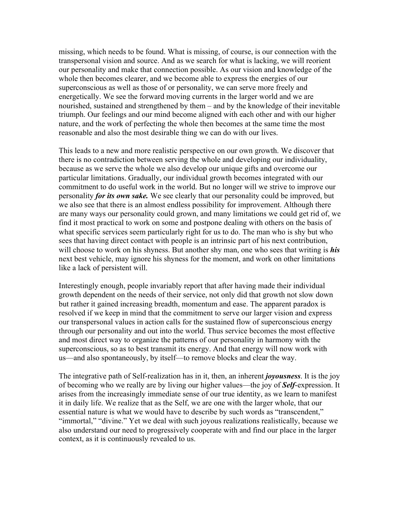missing, which needs to be found. What is missing, of course, is our connection with the transpersonal vision and source. And as we search for what is lacking, we will reorient our personality and make that connection possible. As our vision and knowledge of the whole then becomes clearer, and we become able to express the energies of our superconscious as well as those of or personality, we can serve more freely and energetically. We see the forward moving currents in the larger world and we are nourished, sustained and strengthened by them – and by the knowledge of their inevitable triumph. Our feelings and our mind become aligned with each other and with our higher nature, and the work of perfecting the whole then becomes at the same time the most reasonable and also the most desirable thing we can do with our lives.

This leads to a new and more realistic perspective on our own growth. We discover that there is no contradiction between serving the whole and developing our individuality, because as we serve the whole we also develop our unique gifts and overcome our particular limitations. Gradually, our individual growth becomes integrated with our commitment to do useful work in the world. But no longer will we strive to improve our personality *for its own sake.* We see clearly that our personality could be improved, but we also see that there is an almost endless possibility for improvement. Although there are many ways our personality could grown, and many limitations we could get rid of, we find it most practical to work on some and postpone dealing with others on the basis of what specific services seem particularly right for us to do. The man who is shy but who sees that having direct contact with people is an intrinsic part of his next contribution, will choose to work on his shyness. But another shy man, one who sees that writing is *his* next best vehicle, may ignore his shyness for the moment, and work on other limitations like a lack of persistent will.

Interestingly enough, people invariably report that after having made their individual growth dependent on the needs of their service, not only did that growth not slow down but rather it gained increasing breadth, momentum and ease. The apparent paradox is resolved if we keep in mind that the commitment to serve our larger vision and express our transpersonal values in action calls for the sustained flow of superconscious energy through our personality and out into the world. Thus service becomes the most effective and most direct way to organize the patterns of our personality in harmony with the superconscious, so as to best transmit its energy. And that energy will now work with us—and also spontaneously, by itself—to remove blocks and clear the way.

The integrative path of Self-realization has in it, then, an inherent *joyousness*. It is the joy of becoming who we really are by living our higher values—the joy of *Self*-expression. It arises from the increasingly immediate sense of our true identity, as we learn to manifest it in daily life. We realize that as the Self, we are one with the larger whole, that our essential nature is what we would have to describe by such words as "transcendent," "immortal," "divine." Yet we deal with such joyous realizations realistically, because we also understand our need to progressively cooperate with and find our place in the larger context, as it is continuously revealed to us.